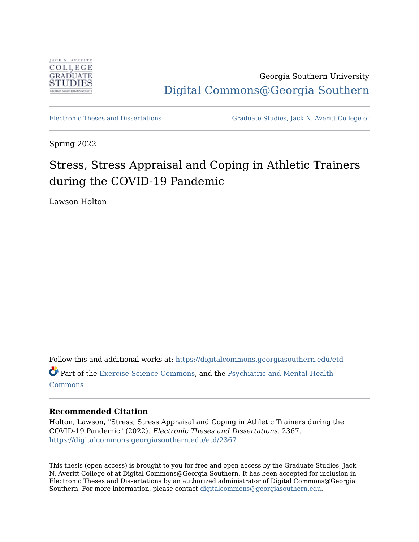

Georgia Southern University [Digital Commons@Georgia Southern](https://digitalcommons.georgiasouthern.edu/) 

[Electronic Theses and Dissertations](https://digitalcommons.georgiasouthern.edu/etd) [Graduate Studies, Jack N. Averitt College of](https://digitalcommons.georgiasouthern.edu/cogs) 

Spring 2022

# Stress, Stress Appraisal and Coping in Athletic Trainers during the COVID-19 Pandemic

Lawson Holton

Follow this and additional works at: [https://digitalcommons.georgiasouthern.edu/etd](https://digitalcommons.georgiasouthern.edu/etd?utm_source=digitalcommons.georgiasouthern.edu%2Fetd%2F2367&utm_medium=PDF&utm_campaign=PDFCoverPages)  Part of the [Exercise Science Commons,](http://network.bepress.com/hgg/discipline/1091?utm_source=digitalcommons.georgiasouthern.edu%2Fetd%2F2367&utm_medium=PDF&utm_campaign=PDFCoverPages) and the [Psychiatric and Mental Health](http://network.bepress.com/hgg/discipline/711?utm_source=digitalcommons.georgiasouthern.edu%2Fetd%2F2367&utm_medium=PDF&utm_campaign=PDFCoverPages) [Commons](http://network.bepress.com/hgg/discipline/711?utm_source=digitalcommons.georgiasouthern.edu%2Fetd%2F2367&utm_medium=PDF&utm_campaign=PDFCoverPages)

# **Recommended Citation**

Holton, Lawson, "Stress, Stress Appraisal and Coping in Athletic Trainers during the COVID-19 Pandemic" (2022). Electronic Theses and Dissertations. 2367. [https://digitalcommons.georgiasouthern.edu/etd/2367](https://digitalcommons.georgiasouthern.edu/etd/2367?utm_source=digitalcommons.georgiasouthern.edu%2Fetd%2F2367&utm_medium=PDF&utm_campaign=PDFCoverPages) 

This thesis (open access) is brought to you for free and open access by the Graduate Studies, Jack N. Averitt College of at Digital Commons@Georgia Southern. It has been accepted for inclusion in Electronic Theses and Dissertations by an authorized administrator of Digital Commons@Georgia Southern. For more information, please contact [digitalcommons@georgiasouthern.edu](mailto:digitalcommons@georgiasouthern.edu).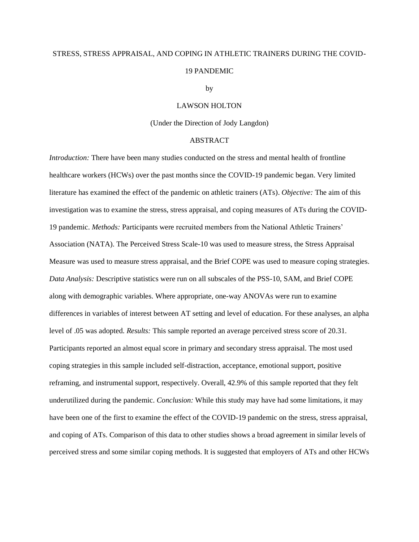# STRESS, STRESS APPRAISAL, AND COPING IN ATHLETIC TRAINERS DURING THE COVID-19 PANDEMIC

#### by

### LAWSON HOLTON

### (Under the Direction of Jody Langdon)

# ABSTRACT

*Introduction:* There have been many studies conducted on the stress and mental health of frontline healthcare workers (HCWs) over the past months since the COVID-19 pandemic began. Very limited literature has examined the effect of the pandemic on athletic trainers (ATs). *Objective:* The aim of this investigation was to examine the stress, stress appraisal, and coping measures of ATs during the COVID-19 pandemic. *Methods:* Participants were recruited members from the National Athletic Trainers' Association (NATA). The Perceived Stress Scale-10 was used to measure stress, the Stress Appraisal Measure was used to measure stress appraisal, and the Brief COPE was used to measure coping strategies. *Data Analysis:* Descriptive statistics were run on all subscales of the PSS-10, SAM, and Brief COPE along with demographic variables. Where appropriate, one-way ANOVAs were run to examine differences in variables of interest between AT setting and level of education. For these analyses, an alpha level of .05 was adopted. *Results:* This sample reported an average perceived stress score of 20.31. Participants reported an almost equal score in primary and secondary stress appraisal. The most used coping strategies in this sample included self-distraction, acceptance, emotional support, positive reframing, and instrumental support, respectively. Overall, 42.9% of this sample reported that they felt underutilized during the pandemic. *Conclusion:* While this study may have had some limitations, it may have been one of the first to examine the effect of the COVID-19 pandemic on the stress, stress appraisal, and coping of ATs. Comparison of this data to other studies shows a broad agreement in similar levels of perceived stress and some similar coping methods. It is suggested that employers of ATs and other HCWs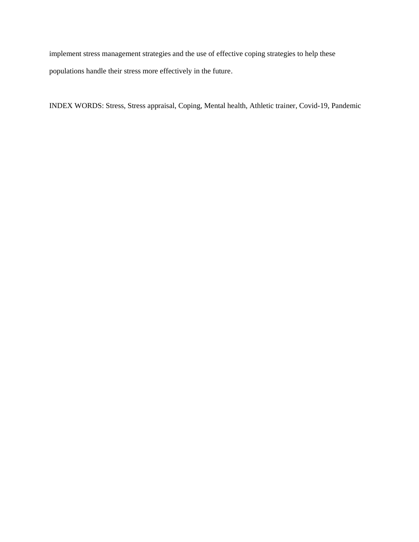implement stress management strategies and the use of effective coping strategies to help these populations handle their stress more effectively in the future.

INDEX WORDS: Stress, Stress appraisal, Coping, Mental health, Athletic trainer, Covid-19, Pandemic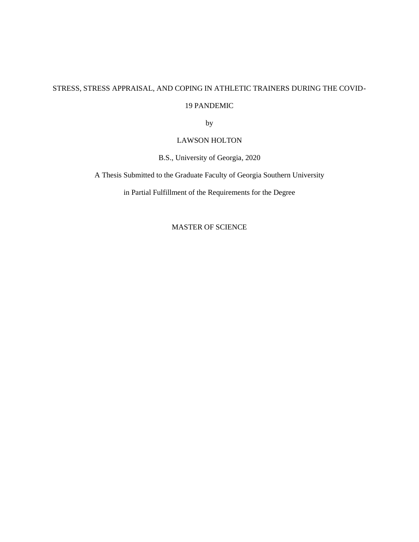# STRESS, STRESS APPRAISAL, AND COPING IN ATHLETIC TRAINERS DURING THE COVID-

# 19 PANDEMIC

by

# LAWSON HOLTON

B.S., University of Georgia, 2020

A Thesis Submitted to the Graduate Faculty of Georgia Southern University

in Partial Fulfillment of the Requirements for the Degree

MASTER OF SCIENCE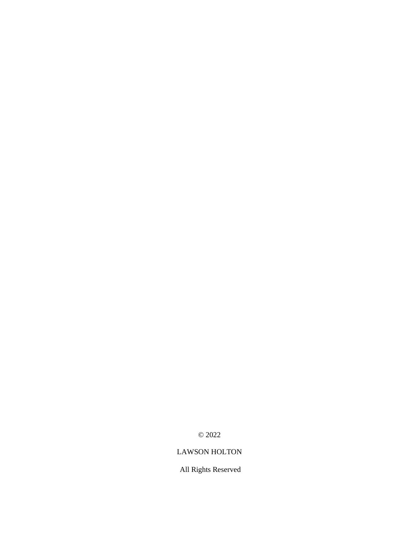© 2022

# LAWSON HOLTON

All Rights Reserved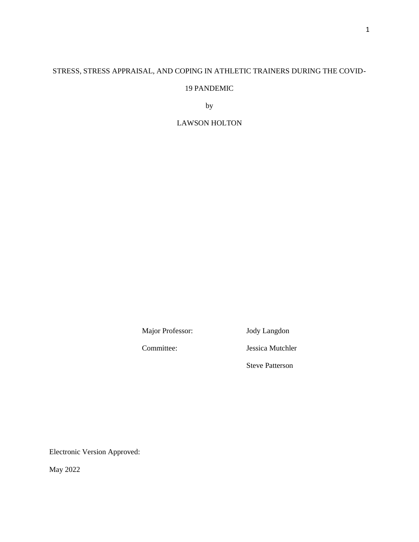# STRESS, STRESS APPRAISAL, AND COPING IN ATHLETIC TRAINERS DURING THE COVID-

# 19 PANDEMIC

by

# LAWSON HOLTON

Major Professor: Jody Langdon

Committee: Jessica Mutchler

Steve Patterson

Electronic Version Approved:

May 2022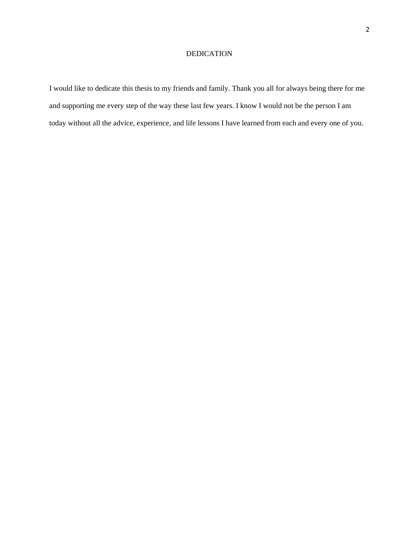# DEDICATION

I would like to dedicate this thesis to my friends and family. Thank you all for always being there for me and supporting me every step of the way these last few years. I know I would not be the person I am today without all the advice, experience, and life lessons I have learned from each and every one of you.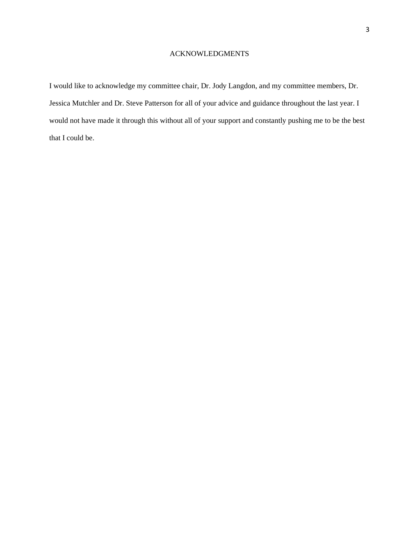# ACKNOWLEDGMENTS

I would like to acknowledge my committee chair, Dr. Jody Langdon, and my committee members, Dr. Jessica Mutchler and Dr. Steve Patterson for all of your advice and guidance throughout the last year. I would not have made it through this without all of your support and constantly pushing me to be the best that I could be.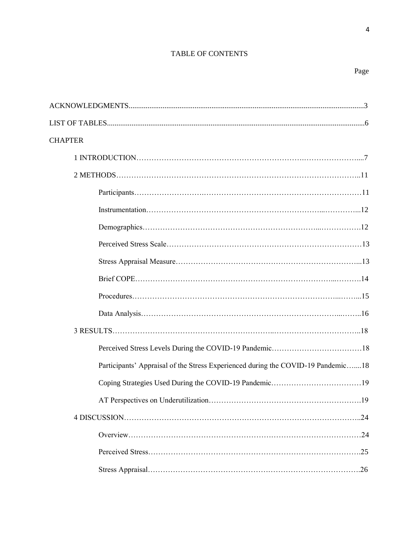# TABLE OF CONTENTS

4

| <b>CHAPTER</b>                                                                   |
|----------------------------------------------------------------------------------|
|                                                                                  |
|                                                                                  |
|                                                                                  |
|                                                                                  |
|                                                                                  |
|                                                                                  |
|                                                                                  |
|                                                                                  |
|                                                                                  |
|                                                                                  |
|                                                                                  |
|                                                                                  |
| Participants' Appraisal of the Stress Experienced during the COVID-19 Pandemic18 |
|                                                                                  |
|                                                                                  |
|                                                                                  |
|                                                                                  |
|                                                                                  |
|                                                                                  |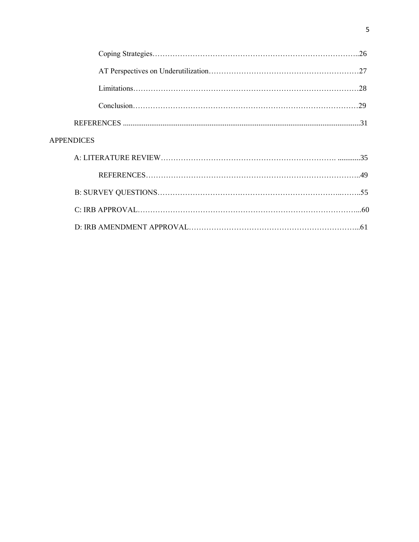| <b>APPENDICES</b> |  |
|-------------------|--|
|                   |  |
|                   |  |
|                   |  |
|                   |  |
|                   |  |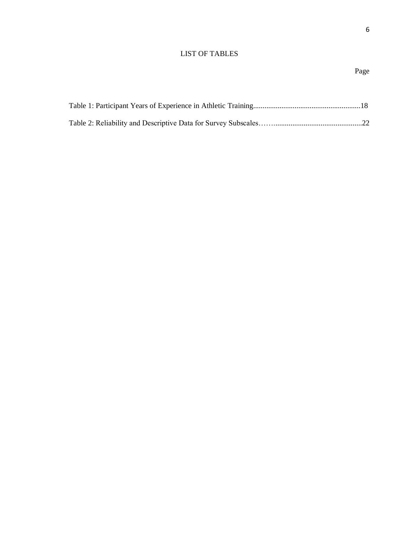# LIST OF TABLES

6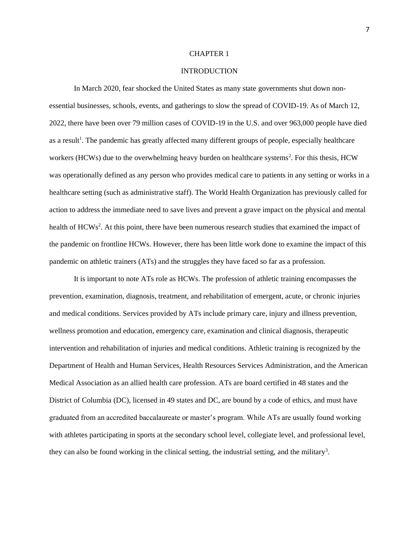#### CHAPTER 1

### INTRODUCTION

In March 2020, fear shocked the United States as many state governments shut down nonessential businesses, schools, events, and gatherings to slow the spread of COVID-19. As of March 12, 2022, there have been over 79 million cases of COVID-19 in the U.S. and over 963,000 people have died as a result<sup>1</sup>. The pandemic has greatly affected many different groups of people, especially healthcare workers (HCWs) due to the overwhelming heavy burden on healthcare systems<sup>2</sup>. For this thesis, HCW was operationally defined as any person who provides medical care to patients in any setting or works in a healthcare setting (such as administrative staff). The World Health Organization has previously called for action to address the immediate need to save lives and prevent a grave impact on the physical and mental health of HCWs<sup>2</sup>. At this point, there have been numerous research studies that examined the impact of the pandemic on frontline HCWs. However, there has been little work done to examine the impact of this pandemic on athletic trainers (ATs) and the struggles they have faced so far as a profession.

It is important to note ATs role as HCWs. The profession of athletic training encompasses the prevention, examination, diagnosis, treatment, and rehabilitation of emergent, acute, or chronic injuries and medical conditions. Services provided by ATs include primary care, injury and illness prevention, wellness promotion and education, emergency care, examination and clinical diagnosis, therapeutic intervention and rehabilitation of injuries and medical conditions. Athletic training is recognized by the Department of Health and Human Services, Health Resources Services Administration, and the American Medical Association as an allied health care profession. ATs are board certified in 48 states and the District of Columbia (DC), licensed in 49 states and DC, are bound by a code of ethics, and must have graduated from an accredited baccalaureate or master's program. While ATs are usually found working with athletes participating in sports at the secondary school level, collegiate level, and professional level, they can also be found working in the clinical setting, the industrial setting, and the military<sup>3</sup>.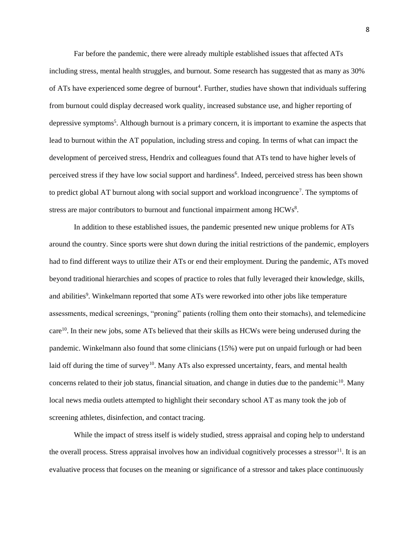Far before the pandemic, there were already multiple established issues that affected ATs including stress, mental health struggles, and burnout. Some research has suggested that as many as 30% of ATs have experienced some degree of burnout<sup>4</sup>. Further, studies have shown that individuals suffering from burnout could display decreased work quality, increased substance use, and higher reporting of depressive symptoms<sup>5</sup>. Although burnout is a primary concern, it is important to examine the aspects that lead to burnout within the AT population, including stress and coping. In terms of what can impact the development of perceived stress, Hendrix and colleagues found that ATs tend to have higher levels of perceived stress if they have low social support and hardiness<sup>6</sup>. Indeed, perceived stress has been shown to predict global AT burnout along with social support and workload incongruence<sup>7</sup>. The symptoms of stress are major contributors to burnout and functional impairment among  $HCWs^8$ .

In addition to these established issues, the pandemic presented new unique problems for ATs around the country. Since sports were shut down during the initial restrictions of the pandemic, employers had to find different ways to utilize their ATs or end their employment. During the pandemic, ATs moved beyond traditional hierarchies and scopes of practice to roles that fully leveraged their knowledge, skills, and abilities<sup>9</sup>. Winkelmann reported that some ATs were reworked into other jobs like temperature assessments, medical screenings, "proning" patients (rolling them onto their stomachs), and telemedicine care<sup>10</sup>. In their new jobs, some ATs believed that their skills as HCWs were being underused during the pandemic. Winkelmann also found that some clinicians (15%) were put on unpaid furlough or had been laid off during the time of survey<sup>10</sup>. Many ATs also expressed uncertainty, fears, and mental health concerns related to their job status, financial situation, and change in duties due to the pandemic<sup>10</sup>. Many local news media outlets attempted to highlight their secondary school AT as many took the job of screening athletes, disinfection, and contact tracing.

While the impact of stress itself is widely studied, stress appraisal and coping help to understand the overall process. Stress appraisal involves how an individual cognitively processes a stressor<sup>11</sup>. It is an evaluative process that focuses on the meaning or significance of a stressor and takes place continuously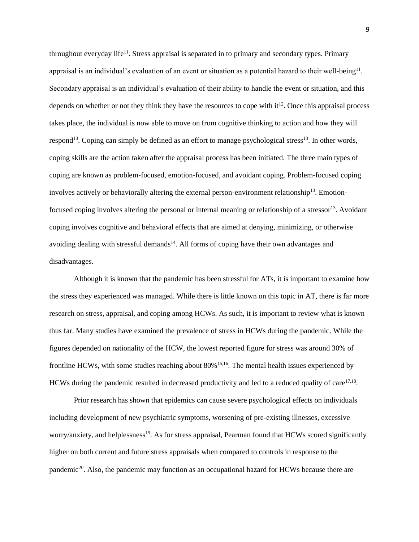throughout everyday life<sup>11</sup>. Stress appraisal is separated in to primary and secondary types. Primary appraisal is an individual's evaluation of an event or situation as a potential hazard to their well-being<sup>11</sup>. Secondary appraisal is an individual's evaluation of their ability to handle the event or situation, and this depends on whether or not they think they have the resources to cope with  $it^{12}$ . Once this appraisal process takes place, the individual is now able to move on from cognitive thinking to action and how they will respond<sup>13</sup>. Coping can simply be defined as an effort to manage psychological stress<sup>13</sup>. In other words, coping skills are the action taken after the appraisal process has been initiated. The three main types of coping are known as problem-focused, emotion-focused, and avoidant coping. Problem-focused coping involves actively or behaviorally altering the external person-environment relationship<sup>13</sup>. Emotionfocused coping involves altering the personal or internal meaning or relationship of a stressor<sup>13</sup>. Avoidant coping involves cognitive and behavioral effects that are aimed at denying, minimizing, or otherwise avoiding dealing with stressful demands<sup>14</sup>. All forms of coping have their own advantages and disadvantages.

Although it is known that the pandemic has been stressful for ATs, it is important to examine how the stress they experienced was managed. While there is little known on this topic in AT, there is far more research on stress, appraisal, and coping among HCWs. As such, it is important to review what is known thus far. Many studies have examined the prevalence of stress in HCWs during the pandemic. While the figures depended on nationality of the HCW, the lowest reported figure for stress was around 30% of frontline HCWs, with some studies reaching about 80%15,16. The mental health issues experienced by HCWs during the pandemic resulted in decreased productivity and led to a reduced quality of care<sup>17,18</sup>.

Prior research has shown that epidemics can cause severe psychological effects on individuals including development of new psychiatric symptoms, worsening of pre-existing illnesses, excessive worry/anxiety, and helplessness<sup>19</sup>. As for stress appraisal, Pearman found that HCWs scored significantly higher on both current and future stress appraisals when compared to controls in response to the pandemic<sup>20</sup>. Also, the pandemic may function as an occupational hazard for HCWs because there are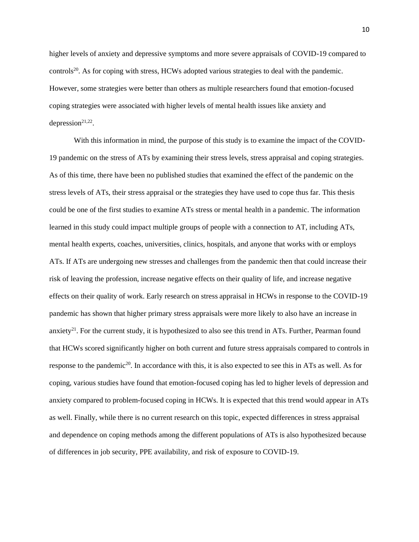higher levels of anxiety and depressive symptoms and more severe appraisals of COVID-19 compared to controls<sup>20</sup>. As for coping with stress, HCWs adopted various strategies to deal with the pandemic. However, some strategies were better than others as multiple researchers found that emotion-focused coping strategies were associated with higher levels of mental health issues like anxiety and depression $21,22$ .

With this information in mind, the purpose of this study is to examine the impact of the COVID-19 pandemic on the stress of ATs by examining their stress levels, stress appraisal and coping strategies. As of this time, there have been no published studies that examined the effect of the pandemic on the stress levels of ATs, their stress appraisal or the strategies they have used to cope thus far. This thesis could be one of the first studies to examine ATs stress or mental health in a pandemic. The information learned in this study could impact multiple groups of people with a connection to AT, including ATs, mental health experts, coaches, universities, clinics, hospitals, and anyone that works with or employs ATs. If ATs are undergoing new stresses and challenges from the pandemic then that could increase their risk of leaving the profession, increase negative effects on their quality of life, and increase negative effects on their quality of work. Early research on stress appraisal in HCWs in response to the COVID-19 pandemic has shown that higher primary stress appraisals were more likely to also have an increase in anxiety<sup>21</sup>. For the current study, it is hypothesized to also see this trend in ATs. Further, Pearman found that HCWs scored significantly higher on both current and future stress appraisals compared to controls in response to the pandemic<sup>20</sup>. In accordance with this, it is also expected to see this in ATs as well. As for coping, various studies have found that emotion-focused coping has led to higher levels of depression and anxiety compared to problem-focused coping in HCWs. It is expected that this trend would appear in ATs as well. Finally, while there is no current research on this topic, expected differences in stress appraisal and dependence on coping methods among the different populations of ATs is also hypothesized because of differences in job security, PPE availability, and risk of exposure to COVID-19.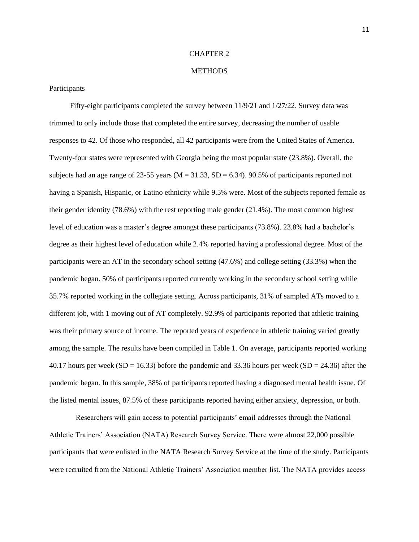### CHAPTER 2

### **METHODS**

### Participants

Fifty-eight participants completed the survey between  $11/9/21$  and  $1/27/22$ . Survey data was trimmed to only include those that completed the entire survey, decreasing the number of usable responses to 42. Of those who responded, all 42 participants were from the United States of America. Twenty-four states were represented with Georgia being the most popular state (23.8%). Overall, the subjects had an age range of 23-55 years ( $M = 31.33$ ,  $SD = 6.34$ ). 90.5% of participants reported not having a Spanish, Hispanic, or Latino ethnicity while 9.5% were. Most of the subjects reported female as their gender identity (78.6%) with the rest reporting male gender (21.4%). The most common highest level of education was a master's degree amongst these participants (73.8%). 23.8% had a bachelor's degree as their highest level of education while 2.4% reported having a professional degree. Most of the participants were an AT in the secondary school setting (47.6%) and college setting (33.3%) when the pandemic began. 50% of participants reported currently working in the secondary school setting while 35.7% reported working in the collegiate setting. Across participants, 31% of sampled ATs moved to a different job, with 1 moving out of AT completely. 92.9% of participants reported that athletic training was their primary source of income. The reported years of experience in athletic training varied greatly among the sample. The results have been compiled in Table 1. On average, participants reported working 40.17 hours per week (SD = 16.33) before the pandemic and 33.36 hours per week (SD = 24.36) after the pandemic began. In this sample, 38% of participants reported having a diagnosed mental health issue. Of the listed mental issues, 87.5% of these participants reported having either anxiety, depression, or both.

Researchers will gain access to potential participants' email addresses through the National Athletic Trainers' Association (NATA) Research Survey Service. There were almost 22,000 possible participants that were enlisted in the NATA Research Survey Service at the time of the study. Participants were recruited from the National Athletic Trainers' Association member list. The NATA provides access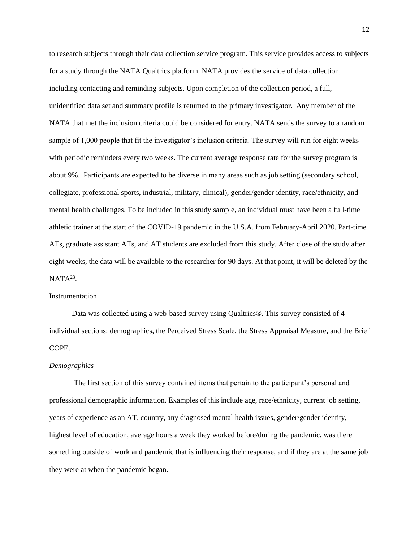to research subjects through their data collection service program. This service provides access to subjects for a study through the NATA Qualtrics platform. NATA provides the service of data collection, including contacting and reminding subjects. Upon completion of the collection period, a full, unidentified data set and summary profile is returned to the primary investigator. Any member of the NATA that met the inclusion criteria could be considered for entry. NATA sends the survey to a random sample of 1,000 people that fit the investigator's inclusion criteria. The survey will run for eight weeks with periodic reminders every two weeks. The current average response rate for the survey program is about 9%. Participants are expected to be diverse in many areas such as job setting (secondary school, collegiate, professional sports, industrial, military, clinical), gender/gender identity, race/ethnicity, and mental health challenges. To be included in this study sample, an individual must have been a full-time athletic trainer at the start of the COVID-19 pandemic in the U.S.A. from February-April 2020. Part-time ATs, graduate assistant ATs, and AT students are excluded from this study. After close of the study after eight weeks, the data will be available to the researcher for 90 days. At that point, it will be deleted by the  $NATA^{23}$ .

#### Instrumentation

Data was collected using a web-based survey using Qualtrics®. This survey consisted of 4 individual sections: demographics, the Perceived Stress Scale, the Stress Appraisal Measure, and the Brief COPE.

# *Demographics*

The first section of this survey contained items that pertain to the participant's personal and professional demographic information. Examples of this include age, race/ethnicity, current job setting, years of experience as an AT, country, any diagnosed mental health issues, gender/gender identity, highest level of education, average hours a week they worked before/during the pandemic, was there something outside of work and pandemic that is influencing their response, and if they are at the same job they were at when the pandemic began.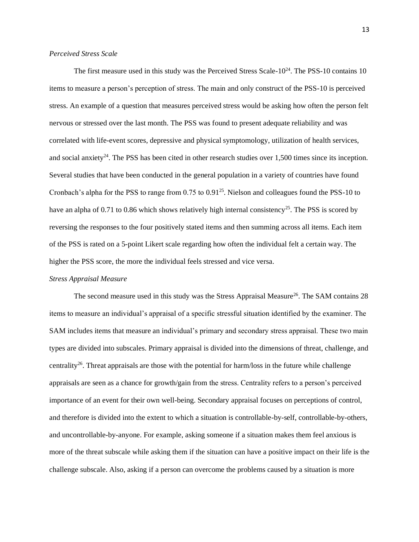### *Perceived Stress Scale*

The first measure used in this study was the Perceived Stress Scale- $10^{24}$ . The PSS-10 contains 10 items to measure a person's perception of stress. The main and only construct of the PSS-10 is perceived stress. An example of a question that measures perceived stress would be asking how often the person felt nervous or stressed over the last month. The PSS was found to present adequate reliability and was correlated with life-event scores, depressive and physical symptomology, utilization of health services, and social anxiety<sup>24</sup>. The PSS has been cited in other research studies over 1,500 times since its inception. Several studies that have been conducted in the general population in a variety of countries have found Cronbach's alpha for the PSS to range from 0.75 to 0.91<sup>25</sup>. Nielson and colleagues found the PSS-10 to have an alpha of 0.71 to 0.86 which shows relatively high internal consistency<sup>25</sup>. The PSS is scored by reversing the responses to the four positively stated items and then summing across all items. Each item of the PSS is rated on a 5-point Likert scale regarding how often the individual felt a certain way. The higher the PSS score, the more the individual feels stressed and vice versa.

### *Stress Appraisal Measure*

The second measure used in this study was the Stress Appraisal Measure<sup>26</sup>. The SAM contains 28 items to measure an individual's appraisal of a specific stressful situation identified by the examiner. The SAM includes items that measure an individual's primary and secondary stress appraisal. These two main types are divided into subscales. Primary appraisal is divided into the dimensions of threat, challenge, and centrality<sup>26</sup>. Threat appraisals are those with the potential for harm/loss in the future while challenge appraisals are seen as a chance for growth/gain from the stress. Centrality refers to a person's perceived importance of an event for their own well-being. Secondary appraisal focuses on perceptions of control, and therefore is divided into the extent to which a situation is controllable-by-self, controllable-by-others, and uncontrollable-by-anyone. For example, asking someone if a situation makes them feel anxious is more of the threat subscale while asking them if the situation can have a positive impact on their life is the challenge subscale. Also, asking if a person can overcome the problems caused by a situation is more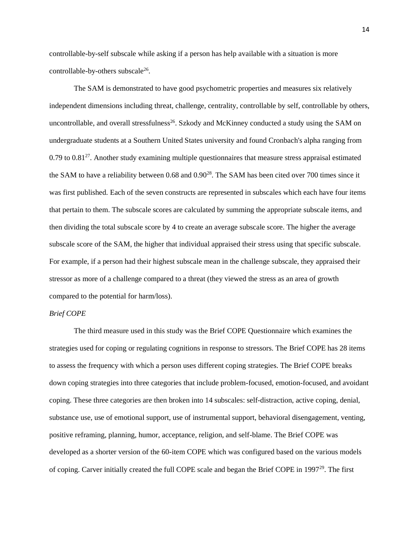controllable-by-self subscale while asking if a person has help available with a situation is more controllable-by-others subscale<sup>26</sup>.

The SAM is demonstrated to have good psychometric properties and measures six relatively independent dimensions including threat, challenge, centrality, controllable by self, controllable by others, uncontrollable, and overall stressfulness<sup>26</sup>. Szkody and McKinney conducted a study using the SAM on undergraduate students at a Southern United States university and found Cronbach's alpha ranging from 0.79 to 0.81<sup>27</sup>. Another study examining multiple questionnaires that measure stress appraisal estimated the SAM to have a reliability between 0.68 and 0.90<sup>28</sup>. The SAM has been cited over 700 times since it was first published. Each of the seven constructs are represented in subscales which each have four items that pertain to them. The subscale scores are calculated by summing the appropriate subscale items, and then dividing the total subscale score by 4 to create an average subscale score. The higher the average subscale score of the SAM, the higher that individual appraised their stress using that specific subscale. For example, if a person had their highest subscale mean in the challenge subscale, they appraised their stressor as more of a challenge compared to a threat (they viewed the stress as an area of growth compared to the potential for harm/loss).

### *Brief COPE*

The third measure used in this study was the Brief COPE Questionnaire which examines the strategies used for coping or regulating cognitions in response to stressors. The Brief COPE has 28 items to assess the frequency with which a person uses different coping strategies. The Brief COPE breaks down coping strategies into three categories that include problem-focused, emotion-focused, and avoidant coping. These three categories are then broken into 14 subscales: self-distraction, active coping, denial, substance use, use of emotional support, use of instrumental support, behavioral disengagement, venting, positive reframing, planning, humor, acceptance, religion, and self-blame. The Brief COPE was developed as a shorter version of the 60-item COPE which was configured based on the various models of coping. Carver initially created the full COPE scale and began the Brief COPE in 199729. The first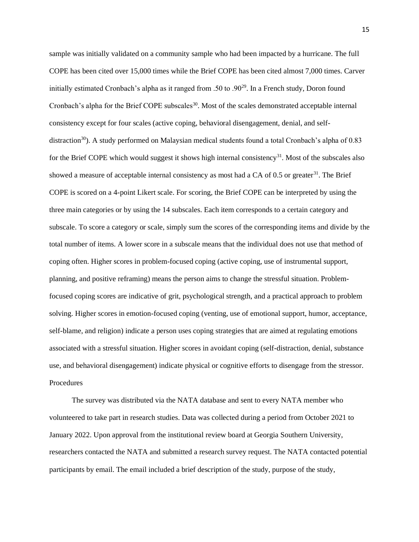sample was initially validated on a community sample who had been impacted by a hurricane. The full COPE has been cited over 15,000 times while the Brief COPE has been cited almost 7,000 times. Carver initially estimated Cronbach's alpha as it ranged from .50 to .90<sup>29</sup>. In a French study, Doron found Cronbach's alpha for the Brief COPE subscales<sup>30</sup>. Most of the scales demonstrated acceptable internal consistency except for four scales (active coping, behavioral disengagement, denial, and selfdistraction<sup>30</sup>). A study performed on Malaysian medical students found a total Cronbach's alpha of 0.83 for the Brief COPE which would suggest it shows high internal consistency<sup>31</sup>. Most of the subscales also showed a measure of acceptable internal consistency as most had a CA of  $0.5$  or greater<sup>31</sup>. The Brief COPE is scored on a 4-point Likert scale. For scoring, the Brief COPE can be interpreted by using the three main categories or by using the 14 subscales. Each item corresponds to a certain category and subscale. To score a category or scale, simply sum the scores of the corresponding items and divide by the total number of items. A lower score in a subscale means that the individual does not use that method of coping often. Higher scores in problem-focused coping (active coping, use of instrumental support, planning, and positive reframing) means the person aims to change the stressful situation. Problemfocused coping scores are indicative of grit, psychological strength, and a practical approach to problem solving. Higher scores in emotion-focused coping (venting, use of emotional support, humor, acceptance, self-blame, and religion) indicate a person uses coping strategies that are aimed at regulating emotions associated with a stressful situation. Higher scores in avoidant coping (self-distraction, denial, substance use, and behavioral disengagement) indicate physical or cognitive efforts to disengage from the stressor. Procedures

The survey was distributed via the NATA database and sent to every NATA member who volunteered to take part in research studies. Data was collected during a period from October 2021 to January 2022. Upon approval from the institutional review board at Georgia Southern University, researchers contacted the NATA and submitted a research survey request. The NATA contacted potential participants by email. The email included a brief description of the study, purpose of the study,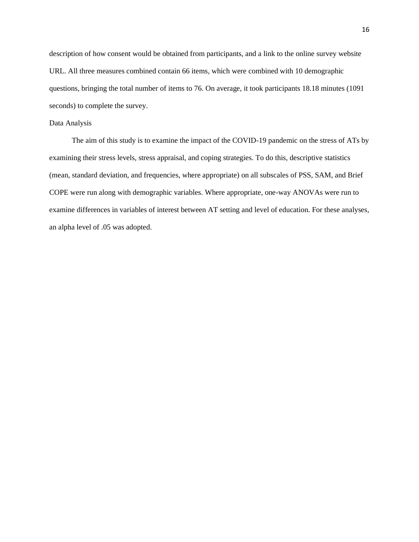description of how consent would be obtained from participants, and a link to the online survey website URL. All three measures combined contain 66 items, which were combined with 10 demographic questions, bringing the total number of items to 76. On average, it took participants 18.18 minutes (1091 seconds) to complete the survey.

### Data Analysis

The aim of this study is to examine the impact of the COVID-19 pandemic on the stress of ATs by examining their stress levels, stress appraisal, and coping strategies. To do this, descriptive statistics (mean, standard deviation, and frequencies, where appropriate) on all subscales of PSS, SAM, and Brief COPE were run along with demographic variables. Where appropriate, one-way ANOVAs were run to examine differences in variables of interest between AT setting and level of education. For these analyses, an alpha level of .05 was adopted.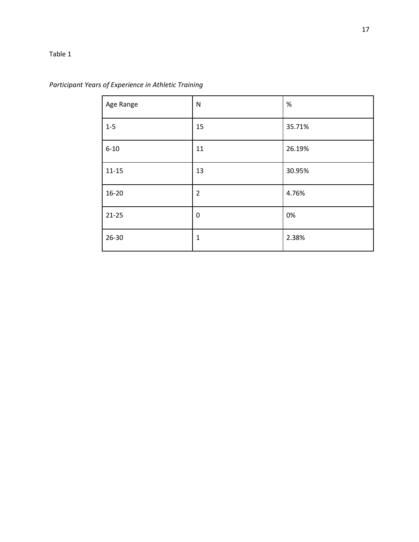# Table 1

| Age Range | N              | $\%$   |
|-----------|----------------|--------|
| $1-5$     | 15             | 35.71% |
| $6 - 10$  | 11             | 26.19% |
| $11 - 15$ | 13             | 30.95% |
| $16 - 20$ | $\overline{2}$ | 4.76%  |
| $21 - 25$ | $\mathbf 0$    | 0%     |
| $26 - 30$ | $\mathbf{1}$   | 2.38%  |

*Participant Years of Experience in Athletic Training*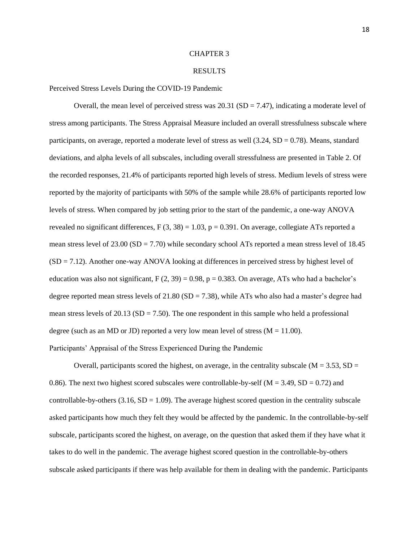#### CHAPTER 3

#### RESULTS

Perceived Stress Levels During the COVID-19 Pandemic

Overall, the mean level of perceived stress was  $20.31$  (SD = 7.47), indicating a moderate level of stress among participants. The Stress Appraisal Measure included an overall stressfulness subscale where participants, on average, reported a moderate level of stress as well  $(3.24, SD = 0.78)$ . Means, standard deviations, and alpha levels of all subscales, including overall stressfulness are presented in Table 2. Of the recorded responses, 21.4% of participants reported high levels of stress. Medium levels of stress were reported by the majority of participants with 50% of the sample while 28.6% of participants reported low levels of stress. When compared by job setting prior to the start of the pandemic, a one-way ANOVA revealed no significant differences,  $F(3, 38) = 1.03$ ,  $p = 0.391$ . On average, collegiate ATs reported a mean stress level of  $23.00$  (SD = 7.70) while secondary school ATs reported a mean stress level of 18.45 (SD = 7.12). Another one-way ANOVA looking at differences in perceived stress by highest level of education was also not significant,  $F(2, 39) = 0.98$ ,  $p = 0.383$ . On average, ATs who had a bachelor's degree reported mean stress levels of  $21.80$  (SD = 7.38), while ATs who also had a master's degree had mean stress levels of  $20.13$  (SD = 7.50). The one respondent in this sample who held a professional degree (such as an MD or JD) reported a very low mean level of stress ( $M = 11.00$ ). Participants' Appraisal of the Stress Experienced During the Pandemic

Overall, participants scored the highest, on average, in the centrality subscale ( $M = 3.53$ ,  $SD =$ 0.86). The next two highest scored subscales were controllable-by-self ( $M = 3.49$ , SD = 0.72) and controllable-by-others  $(3.16, SD = 1.09)$ . The average highest scored question in the centrality subscale asked participants how much they felt they would be affected by the pandemic. In the controllable-by-self subscale, participants scored the highest, on average, on the question that asked them if they have what it takes to do well in the pandemic. The average highest scored question in the controllable-by-others subscale asked participants if there was help available for them in dealing with the pandemic. Participants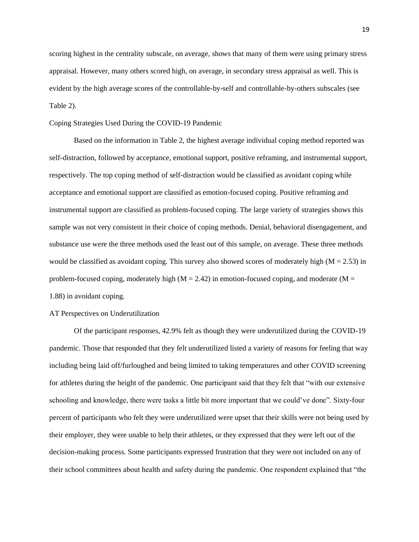scoring highest in the centrality subscale, on average, shows that many of them were using primary stress appraisal. However, many others scored high, on average, in secondary stress appraisal as well. This is evident by the high average scores of the controllable-by-self and controllable-by-others subscales (see Table 2).

### Coping Strategies Used During the COVID-19 Pandemic

Based on the information in Table 2, the highest average individual coping method reported was self-distraction, followed by acceptance, emotional support, positive reframing, and instrumental support, respectively. The top coping method of self-distraction would be classified as avoidant coping while acceptance and emotional support are classified as emotion-focused coping. Positive reframing and instrumental support are classified as problem-focused coping. The large variety of strategies shows this sample was not very consistent in their choice of coping methods. Denial, behavioral disengagement, and substance use were the three methods used the least out of this sample, on average. These three methods would be classified as avoidant coping. This survey also showed scores of moderately high  $(M = 2.53)$  in problem-focused coping, moderately high ( $M = 2.42$ ) in emotion-focused coping, and moderate ( $M =$ 1.88) in avoidant coping.

## AT Perspectives on Underutilization

Of the participant responses, 42.9% felt as though they were underutilized during the COVID-19 pandemic. Those that responded that they felt underutilized listed a variety of reasons for feeling that way including being laid off/furloughed and being limited to taking temperatures and other COVID screening for athletes during the height of the pandemic. One participant said that they felt that "with our extensive schooling and knowledge, there were tasks a little bit more important that we could've done". Sixty-four percent of participants who felt they were underutilized were upset that their skills were not being used by their employer, they were unable to help their athletes, or they expressed that they were left out of the decision-making process. Some participants expressed frustration that they were not included on any of their school committees about health and safety during the pandemic. One respondent explained that "the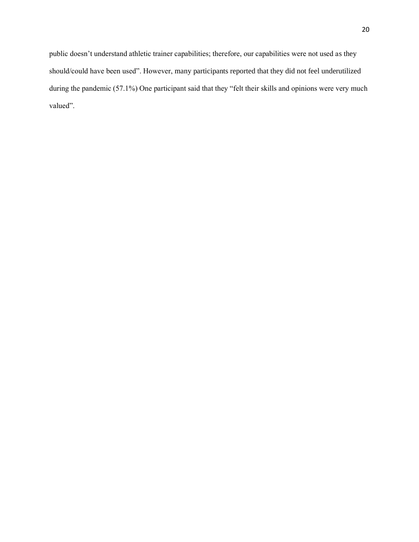public doesn't understand athletic trainer capabilities; therefore, our capabilities were not used as they should/could have been used". However, many participants reported that they did not feel underutilized during the pandemic (57.1%) One participant said that they "felt their skills and opinions were very much valued".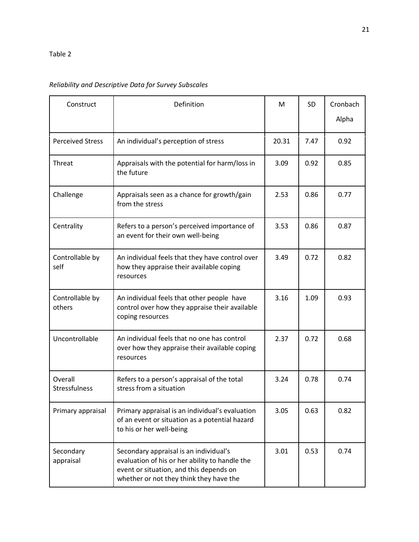# *Reliability and Descriptive Data for Survey Subscales*

| Construct                 | Definition                                                                                                                                                                     | M     | SD   | Cronbach |
|---------------------------|--------------------------------------------------------------------------------------------------------------------------------------------------------------------------------|-------|------|----------|
|                           |                                                                                                                                                                                |       |      | Alpha    |
| <b>Perceived Stress</b>   | An individual's perception of stress                                                                                                                                           | 20.31 | 7.47 | 0.92     |
| Threat                    | Appraisals with the potential for harm/loss in<br>the future                                                                                                                   | 3.09  | 0.92 | 0.85     |
| Challenge                 | Appraisals seen as a chance for growth/gain<br>from the stress                                                                                                                 | 2.53  | 0.86 | 0.77     |
| Centrality                | Refers to a person's perceived importance of<br>an event for their own well-being                                                                                              | 3.53  | 0.86 | 0.87     |
| Controllable by<br>self   | An individual feels that they have control over<br>how they appraise their available coping<br>resources                                                                       | 3.49  | 0.72 | 0.82     |
| Controllable by<br>others | An individual feels that other people have<br>control over how they appraise their available<br>coping resources                                                               | 3.16  | 1.09 | 0.93     |
| Uncontrollable            | An individual feels that no one has control<br>over how they appraise their available coping<br>resources                                                                      | 2.37  | 0.72 | 0.68     |
| Overall<br>Stressfulness  | Refers to a person's appraisal of the total<br>stress from a situation                                                                                                         | 3.24  | 0.78 | 0.74     |
| Primary appraisal         | Primary appraisal is an individual's evaluation<br>of an event or situation as a potential hazard<br>to his or her well-being                                                  | 3.05  | 0.63 | 0.82     |
| Secondary<br>appraisal    | Secondary appraisal is an individual's<br>evaluation of his or her ability to handle the<br>event or situation, and this depends on<br>whether or not they think they have the | 3.01  | 0.53 | 0.74     |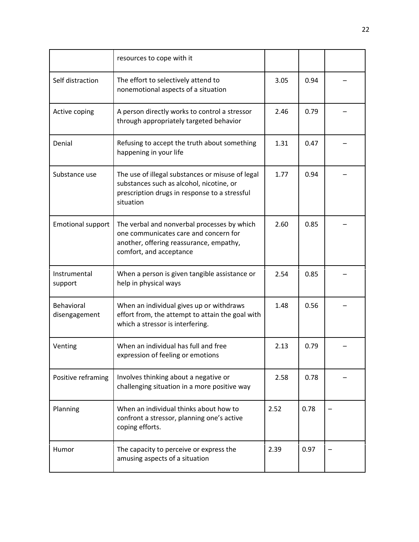|                             | resources to cope with it                                                                                                                                  |      |      |  |
|-----------------------------|------------------------------------------------------------------------------------------------------------------------------------------------------------|------|------|--|
| Self distraction            | The effort to selectively attend to<br>nonemotional aspects of a situation                                                                                 | 3.05 | 0.94 |  |
| Active coping               | A person directly works to control a stressor<br>through appropriately targeted behavior                                                                   | 2.46 | 0.79 |  |
| Denial                      | Refusing to accept the truth about something<br>happening in your life                                                                                     | 1.31 | 0.47 |  |
| Substance use               | The use of illegal substances or misuse of legal<br>substances such as alcohol, nicotine, or<br>prescription drugs in response to a stressful<br>situation | 1.77 | 0.94 |  |
| <b>Emotional support</b>    | The verbal and nonverbal processes by which<br>one communicates care and concern for<br>another, offering reassurance, empathy,<br>comfort, and acceptance | 2.60 | 0.85 |  |
| Instrumental<br>support     | When a person is given tangible assistance or<br>help in physical ways                                                                                     | 2.54 | 0.85 |  |
| Behavioral<br>disengagement | When an individual gives up or withdraws<br>effort from, the attempt to attain the goal with<br>which a stressor is interfering.                           | 1.48 | 0.56 |  |
| Venting                     | When an individual has full and free<br>expression of feeling or emotions                                                                                  | 2.13 | 0.79 |  |
| Positive reframing          | Involves thinking about a negative or<br>challenging situation in a more positive way                                                                      | 2.58 | 0.78 |  |
| Planning                    | When an individual thinks about how to<br>confront a stressor, planning one's active<br>coping efforts.                                                    | 2.52 | 0.78 |  |
| Humor                       | The capacity to perceive or express the<br>amusing aspects of a situation                                                                                  | 2.39 | 0.97 |  |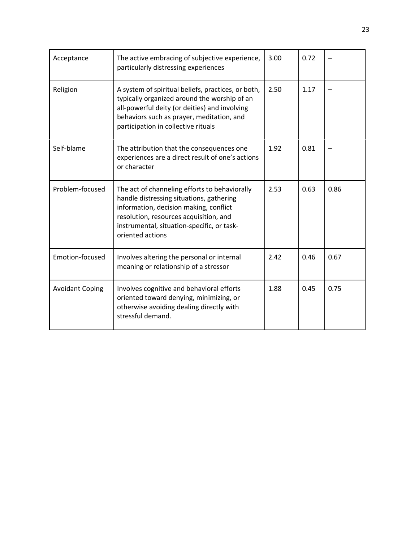| Acceptance             | The active embracing of subjective experience,<br>particularly distressing experiences                                                                                                                                                          | 3.00 | 0.72 |      |
|------------------------|-------------------------------------------------------------------------------------------------------------------------------------------------------------------------------------------------------------------------------------------------|------|------|------|
| Religion               | A system of spiritual beliefs, practices, or both,<br>typically organized around the worship of an<br>all-powerful deity (or deities) and involving<br>behaviors such as prayer, meditation, and<br>participation in collective rituals         | 2.50 | 1.17 |      |
| Self-blame             | The attribution that the consequences one<br>experiences are a direct result of one's actions<br>or character                                                                                                                                   | 1.92 | 0.81 |      |
| Problem-focused        | The act of channeling efforts to behaviorally<br>handle distressing situations, gathering<br>information, decision making, conflict<br>resolution, resources acquisition, and<br>instrumental, situation-specific, or task-<br>oriented actions | 2.53 | 0.63 | 0.86 |
| Emotion-focused        | Involves altering the personal or internal<br>meaning or relationship of a stressor                                                                                                                                                             | 2.42 | 0.46 | 0.67 |
| <b>Avoidant Coping</b> | Involves cognitive and behavioral efforts<br>oriented toward denying, minimizing, or<br>otherwise avoiding dealing directly with<br>stressful demand.                                                                                           | 1.88 | 0.45 | 0.75 |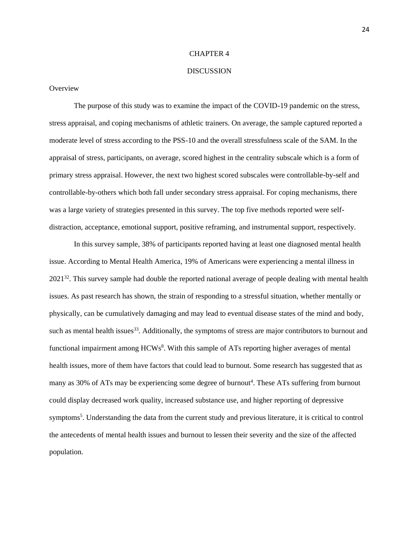#### CHAPTER 4

### **DISCUSSION**

**Overview** 

The purpose of this study was to examine the impact of the COVID-19 pandemic on the stress, stress appraisal, and coping mechanisms of athletic trainers. On average, the sample captured reported a moderate level of stress according to the PSS-10 and the overall stressfulness scale of the SAM. In the appraisal of stress, participants, on average, scored highest in the centrality subscale which is a form of primary stress appraisal. However, the next two highest scored subscales were controllable-by-self and controllable-by-others which both fall under secondary stress appraisal. For coping mechanisms, there was a large variety of strategies presented in this survey. The top five methods reported were selfdistraction, acceptance, emotional support, positive reframing, and instrumental support, respectively.

In this survey sample, 38% of participants reported having at least one diagnosed mental health issue. According to Mental Health America, 19% of Americans were experiencing a mental illness in 2021<sup>32</sup>. This survey sample had double the reported national average of people dealing with mental health issues. As past research has shown, the strain of responding to a stressful situation, whether mentally or physically, can be cumulatively damaging and may lead to eventual disease states of the mind and body, such as mental health issues<sup>33</sup>. Additionally, the symptoms of stress are major contributors to burnout and functional impairment among HCWs<sup>8</sup>. With this sample of ATs reporting higher averages of mental health issues, more of them have factors that could lead to burnout. Some research has suggested that as many as 30% of ATs may be experiencing some degree of burnout<sup>4</sup>. These ATs suffering from burnout could display decreased work quality, increased substance use, and higher reporting of depressive symptoms<sup>5</sup>. Understanding the data from the current study and previous literature, it is critical to control the antecedents of mental health issues and burnout to lessen their severity and the size of the affected population.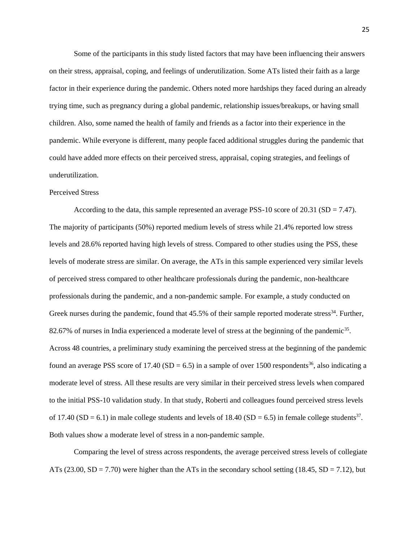Some of the participants in this study listed factors that may have been influencing their answers on their stress, appraisal, coping, and feelings of underutilization. Some ATs listed their faith as a large factor in their experience during the pandemic. Others noted more hardships they faced during an already trying time, such as pregnancy during a global pandemic, relationship issues/breakups, or having small children. Also, some named the health of family and friends as a factor into their experience in the pandemic. While everyone is different, many people faced additional struggles during the pandemic that could have added more effects on their perceived stress, appraisal, coping strategies, and feelings of underutilization.

## Perceived Stress

According to the data, this sample represented an average PSS-10 score of 20.31 (SD = 7.47). The majority of participants (50%) reported medium levels of stress while 21.4% reported low stress levels and 28.6% reported having high levels of stress. Compared to other studies using the PSS, these levels of moderate stress are similar. On average, the ATs in this sample experienced very similar levels of perceived stress compared to other healthcare professionals during the pandemic, non-healthcare professionals during the pandemic, and a non-pandemic sample. For example, a study conducted on Greek nurses during the pandemic, found that  $45.5\%$  of their sample reported moderate stress<sup>34</sup>. Further, 82.67% of nurses in India experienced a moderate level of stress at the beginning of the pandemic<sup>35</sup>. Across 48 countries, a preliminary study examining the perceived stress at the beginning of the pandemic found an average PSS score of 17.40 (SD = 6.5) in a sample of over 1500 respondents<sup>36</sup>, also indicating a moderate level of stress. All these results are very similar in their perceived stress levels when compared to the initial PSS-10 validation study. In that study, Roberti and colleagues found perceived stress levels of 17.40 (SD = 6.1) in male college students and levels of 18.40 (SD = 6.5) in female college students<sup>37</sup>. Both values show a moderate level of stress in a non-pandemic sample.

Comparing the level of stress across respondents, the average perceived stress levels of collegiate ATs (23.00, SD = 7.70) were higher than the ATs in the secondary school setting (18.45, SD = 7.12), but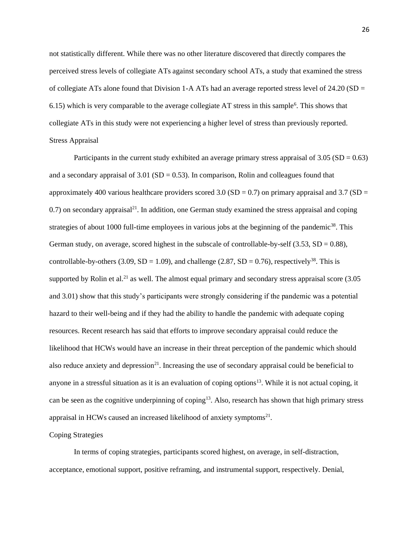not statistically different. While there was no other literature discovered that directly compares the perceived stress levels of collegiate ATs against secondary school ATs, a study that examined the stress of collegiate ATs alone found that Division 1-A ATs had an average reported stress level of 24.20 (SD  $=$  $6.15$ ) which is very comparable to the average collegiate AT stress in this sample<sup>6</sup>. This shows that collegiate ATs in this study were not experiencing a higher level of stress than previously reported. Stress Appraisal

Participants in the current study exhibited an average primary stress appraisal of  $3.05$  (SD = 0.63) and a secondary appraisal of  $3.01$  (SD = 0.53). In comparison, Rolin and colleagues found that approximately 400 various healthcare providers scored 3.0 (SD = 0.7) on primary appraisal and 3.7 (SD =  $(0.7)$  on secondary appraisal<sup>21</sup>. In addition, one German study examined the stress appraisal and coping strategies of about 1000 full-time employees in various jobs at the beginning of the pandemic<sup>38</sup>. This German study, on average, scored highest in the subscale of controllable-by-self  $(3.53, SD = 0.88)$ , controllable-by-others (3.09, SD = 1.09), and challenge (2.87, SD = 0.76), respectively<sup>38</sup>. This is supported by Rolin et al.<sup>21</sup> as well. The almost equal primary and secondary stress appraisal score  $(3.05)$ and 3.01) show that this study's participants were strongly considering if the pandemic was a potential hazard to their well-being and if they had the ability to handle the pandemic with adequate coping resources. Recent research has said that efforts to improve secondary appraisal could reduce the likelihood that HCWs would have an increase in their threat perception of the pandemic which should also reduce anxiety and depression<sup>21</sup>. Increasing the use of secondary appraisal could be beneficial to anyone in a stressful situation as it is an evaluation of coping options $13$ . While it is not actual coping, it can be seen as the cognitive underpinning of coping<sup>13</sup>. Also, research has shown that high primary stress appraisal in HCWs caused an increased likelihood of anxiety symptoms $^{21}$ .

### Coping Strategies

In terms of coping strategies, participants scored highest, on average, in self-distraction, acceptance, emotional support, positive reframing, and instrumental support, respectively. Denial,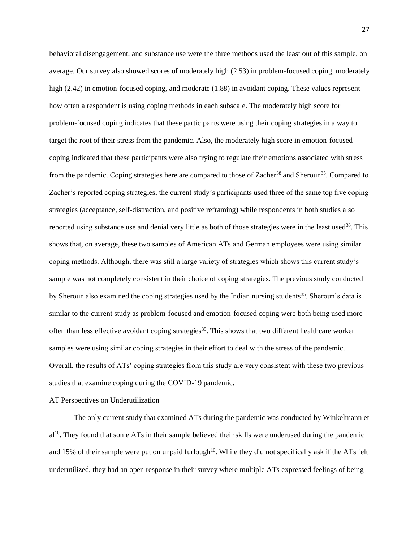behavioral disengagement, and substance use were the three methods used the least out of this sample, on average. Our survey also showed scores of moderately high (2.53) in problem-focused coping, moderately high (2.42) in emotion-focused coping, and moderate (1.88) in avoidant coping. These values represent how often a respondent is using coping methods in each subscale. The moderately high score for problem-focused coping indicates that these participants were using their coping strategies in a way to target the root of their stress from the pandemic. Also, the moderately high score in emotion-focused coping indicated that these participants were also trying to regulate their emotions associated with stress from the pandemic. Coping strategies here are compared to those of Zacher<sup>38</sup> and Sheroun<sup>35</sup>. Compared to Zacher's reported coping strategies, the current study's participants used three of the same top five coping strategies (acceptance, self-distraction, and positive reframing) while respondents in both studies also reported using substance use and denial very little as both of those strategies were in the least used<sup>38</sup>. This shows that, on average, these two samples of American ATs and German employees were using similar coping methods. Although, there was still a large variety of strategies which shows this current study's sample was not completely consistent in their choice of coping strategies. The previous study conducted by Sheroun also examined the coping strategies used by the Indian nursing students<sup>35</sup>. Sheroun's data is similar to the current study as problem-focused and emotion-focused coping were both being used more often than less effective avoidant coping strategies<sup>35</sup>. This shows that two different healthcare worker samples were using similar coping strategies in their effort to deal with the stress of the pandemic. Overall, the results of ATs' coping strategies from this study are very consistent with these two previous studies that examine coping during the COVID-19 pandemic.

### AT Perspectives on Underutilization

The only current study that examined ATs during the pandemic was conducted by Winkelmann et al<sup>10</sup>. They found that some ATs in their sample believed their skills were underused during the pandemic and 15% of their sample were put on unpaid furlough<sup>10</sup>. While they did not specifically ask if the ATs felt underutilized, they had an open response in their survey where multiple ATs expressed feelings of being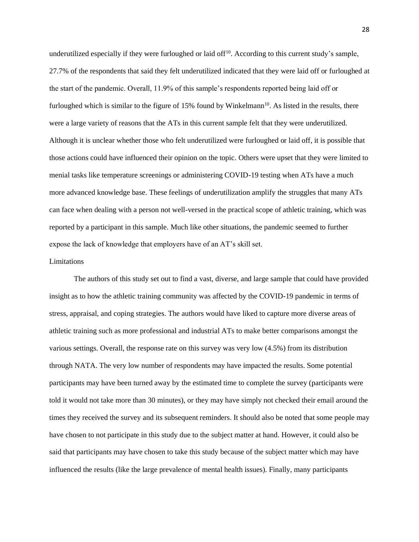underutilized especially if they were furloughed or laid off $10$ . According to this current study's sample, 27.7% of the respondents that said they felt underutilized indicated that they were laid off or furloughed at the start of the pandemic. Overall, 11.9% of this sample's respondents reported being laid off or furloughed which is similar to the figure of  $15\%$  found by Winkelmann<sup>10</sup>. As listed in the results, there were a large variety of reasons that the ATs in this current sample felt that they were underutilized. Although it is unclear whether those who felt underutilized were furloughed or laid off, it is possible that those actions could have influenced their opinion on the topic. Others were upset that they were limited to menial tasks like temperature screenings or administering COVID-19 testing when ATs have a much more advanced knowledge base. These feelings of underutilization amplify the struggles that many ATs can face when dealing with a person not well-versed in the practical scope of athletic training, which was reported by a participant in this sample. Much like other situations, the pandemic seemed to further expose the lack of knowledge that employers have of an AT's skill set.

### Limitations

The authors of this study set out to find a vast, diverse, and large sample that could have provided insight as to how the athletic training community was affected by the COVID-19 pandemic in terms of stress, appraisal, and coping strategies. The authors would have liked to capture more diverse areas of athletic training such as more professional and industrial ATs to make better comparisons amongst the various settings. Overall, the response rate on this survey was very low (4.5%) from its distribution through NATA. The very low number of respondents may have impacted the results. Some potential participants may have been turned away by the estimated time to complete the survey (participants were told it would not take more than 30 minutes), or they may have simply not checked their email around the times they received the survey and its subsequent reminders. It should also be noted that some people may have chosen to not participate in this study due to the subject matter at hand. However, it could also be said that participants may have chosen to take this study because of the subject matter which may have influenced the results (like the large prevalence of mental health issues). Finally, many participants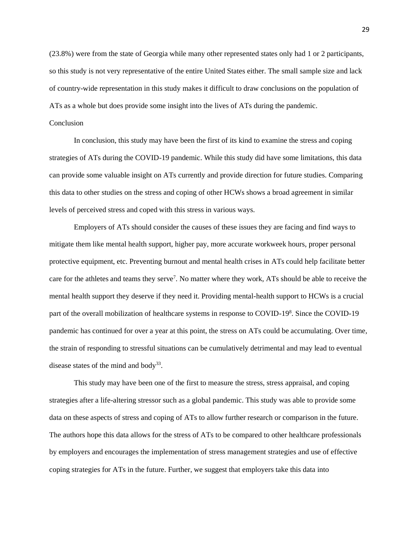(23.8%) were from the state of Georgia while many other represented states only had 1 or 2 participants, so this study is not very representative of the entire United States either. The small sample size and lack of country-wide representation in this study makes it difficult to draw conclusions on the population of ATs as a whole but does provide some insight into the lives of ATs during the pandemic.

# Conclusion

In conclusion, this study may have been the first of its kind to examine the stress and coping strategies of ATs during the COVID-19 pandemic. While this study did have some limitations, this data can provide some valuable insight on ATs currently and provide direction for future studies. Comparing this data to other studies on the stress and coping of other HCWs shows a broad agreement in similar levels of perceived stress and coped with this stress in various ways.

Employers of ATs should consider the causes of these issues they are facing and find ways to mitigate them like mental health support, higher pay, more accurate workweek hours, proper personal protective equipment, etc. Preventing burnout and mental health crises in ATs could help facilitate better care for the athletes and teams they serve<sup>7</sup>. No matter where they work, ATs should be able to receive the mental health support they deserve if they need it. Providing mental-health support to HCWs is a crucial part of the overall mobilization of healthcare systems in response to COVID-19<sup>8</sup>. Since the COVID-19 pandemic has continued for over a year at this point, the stress on ATs could be accumulating. Over time, the strain of responding to stressful situations can be cumulatively detrimental and may lead to eventual disease states of the mind and body<sup>33</sup>.

This study may have been one of the first to measure the stress, stress appraisal, and coping strategies after a life-altering stressor such as a global pandemic. This study was able to provide some data on these aspects of stress and coping of ATs to allow further research or comparison in the future. The authors hope this data allows for the stress of ATs to be compared to other healthcare professionals by employers and encourages the implementation of stress management strategies and use of effective coping strategies for ATs in the future. Further, we suggest that employers take this data into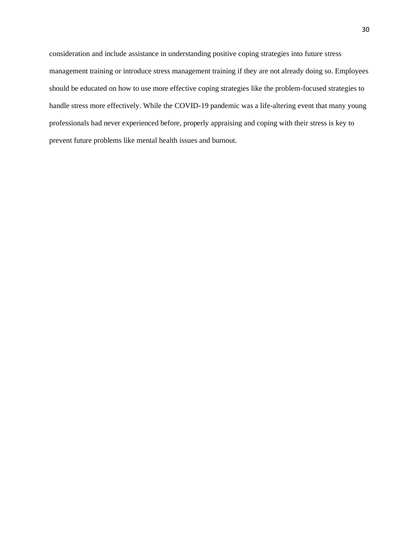consideration and include assistance in understanding positive coping strategies into future stress management training or introduce stress management training if they are not already doing so. Employees should be educated on how to use more effective coping strategies like the problem-focused strategies to handle stress more effectively. While the COVID-19 pandemic was a life-altering event that many young professionals had never experienced before, properly appraising and coping with their stress is key to prevent future problems like mental health issues and burnout.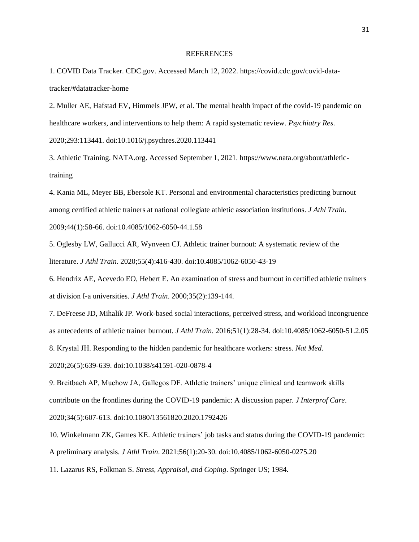#### REFERENCES

1. COVID Data Tracker. CDC.gov. Accessed March 12, 2022. https://covid.cdc.gov/covid-datatracker/#datatracker-home

2. Muller AE, Hafstad EV, Himmels JPW, et al. The mental health impact of the covid-19 pandemic on healthcare workers, and interventions to help them: A rapid systematic review. *Psychiatry Res*. 2020;293:113441. doi:10.1016/j.psychres.2020.113441

3. Athletic Training. NATA.org. Accessed September 1, 2021. https://www.nata.org/about/athletictraining

4. Kania ML, Meyer BB, Ebersole KT. Personal and environmental characteristics predicting burnout among certified athletic trainers at national collegiate athletic association institutions. *J Athl Train*. 2009;44(1):58-66. doi:10.4085/1062-6050-44.1.58

5. Oglesby LW, Gallucci AR, Wynveen CJ. Athletic trainer burnout: A systematic review of the literature. *J Athl Train*. 2020;55(4):416-430. doi:10.4085/1062-6050-43-19

6. Hendrix AE, Acevedo EO, Hebert E. An examination of stress and burnout in certified athletic trainers at division I-a universities. *J Athl Train*. 2000;35(2):139-144.

7. DeFreese JD, Mihalik JP. Work-based social interactions, perceived stress, and workload incongruence as antecedents of athletic trainer burnout. *J Athl Train*. 2016;51(1):28-34. doi:10.4085/1062-6050-51.2.05

8. Krystal JH. Responding to the hidden pandemic for healthcare workers: stress. *Nat Med*.

2020;26(5):639-639. doi:10.1038/s41591-020-0878-4

9. Breitbach AP, Muchow JA, Gallegos DF. Athletic trainers' unique clinical and teamwork skills contribute on the frontlines during the COVID-19 pandemic: A discussion paper. *J Interprof Care*. 2020;34(5):607-613. doi:10.1080/13561820.2020.1792426

10. Winkelmann ZK, Games KE. Athletic trainers' job tasks and status during the COVID-19 pandemic: A preliminary analysis. *J Athl Train*. 2021;56(1):20-30. doi:10.4085/1062-6050-0275.20

11. Lazarus RS, Folkman S. *Stress, Appraisal, and Coping*. Springer US; 1984.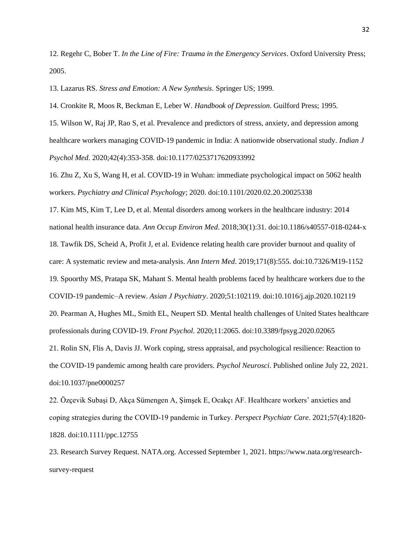12. Regehr C, Bober T. *In the Line of Fire: Trauma in the Emergency Services*. Oxford University Press; 2005.

13. Lazarus RS. *Stress and Emotion: A New Synthesis*. Springer US; 1999.

14. Cronkite R, Moos R, Beckman E, Leber W. *Handbook of Depression*. Guilford Press; 1995.

15. Wilson W, Raj JP, Rao S, et al. Prevalence and predictors of stress, anxiety, and depression among healthcare workers managing COVID-19 pandemic in India: A nationwide observational study. *Indian J Psychol Med*. 2020;42(4):353-358. doi:10.1177/0253717620933992

16. Zhu Z, Xu S, Wang H, et al. COVID-19 in Wuhan: immediate psychological impact on 5062 health workers. *Psychiatry and Clinical Psychology*; 2020. doi:10.1101/2020.02.20.20025338

17. Kim MS, Kim T, Lee D, et al. Mental disorders among workers in the healthcare industry: 2014 national health insurance data. *Ann Occup Environ Med*. 2018;30(1):31. doi:10.1186/s40557-018-0244-x 18. Tawfik DS, Scheid A, Profit J, et al. Evidence relating health care provider burnout and quality of care: A systematic review and meta-analysis. *Ann Intern Med*. 2019;171(8):555. doi:10.7326/M19-1152 19. Spoorthy MS, Pratapa SK, Mahant S. Mental health problems faced by healthcare workers due to the COVID-19 pandemic–A review. *Asian J Psychiatry*. 2020;51:102119. doi:10.1016/j.ajp.2020.102119 20. Pearman A, Hughes ML, Smith EL, Neupert SD. Mental health challenges of United States healthcare professionals during COVID-19. *Front Psychol*. 2020;11:2065. doi:10.3389/fpsyg.2020.02065 21. Rolin SN, Flis A, Davis JJ. Work coping, stress appraisal, and psychological resilience: Reaction to the COVID-19 pandemic among health care providers. *Psychol Neurosci*. Published online July 22, 2021. doi:10.1037/pne0000257

22. Özçevik Subaşi D, Akça Sümengen A, Şimşek E, Ocakçı AF. Healthcare workers' anxieties and coping strategies during the COVID‐19 pandemic in Turkey. *Perspect Psychiatr Care*. 2021;57(4):1820- 1828. doi:10.1111/ppc.12755

23. Research Survey Request. NATA.org. Accessed September 1, 2021. https://www.nata.org/researchsurvey-request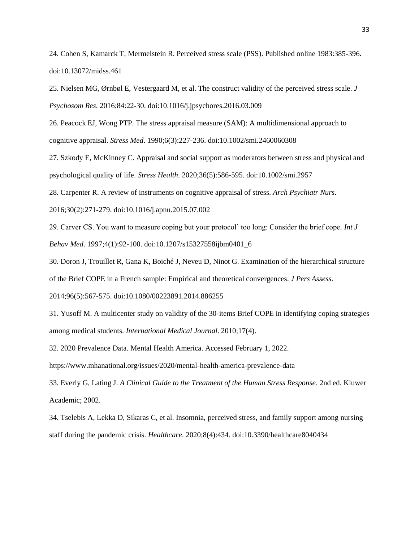24. Cohen S, Kamarck T, Mermelstein R. Perceived stress scale (PSS). Published online 1983:385-396. doi:10.13072/midss.461

25. Nielsen MG, Ørnbøl E, Vestergaard M, et al. The construct validity of the perceived stress scale. *J Psychosom Res*. 2016;84:22-30. doi:10.1016/j.jpsychores.2016.03.009

26. Peacock EJ, Wong PTP. The stress appraisal measure (SAM): A multidimensional approach to cognitive appraisal. *Stress Med*. 1990;6(3):227-236. doi:10.1002/smi.2460060308

27. Szkody E, McKinney C. Appraisal and social support as moderators between stress and physical and psychological quality of life. *Stress Health*. 2020;36(5):586-595. doi:10.1002/smi.2957

28. Carpenter R. A review of instruments on cognitive appraisal of stress. *Arch Psychiatr Nurs*.

2016;30(2):271-279. doi:10.1016/j.apnu.2015.07.002

29. Carver CS. You want to measure coping but your protocol' too long: Consider the brief cope. *Int J Behav Med*. 1997;4(1):92-100. doi:10.1207/s15327558ijbm0401\_6

30. Doron J, Trouillet R, Gana K, Boiché J, Neveu D, Ninot G. Examination of the hierarchical structure

of the Brief COPE in a French sample: Empirical and theoretical convergences. *J Pers Assess*.

2014;96(5):567-575. doi:10.1080/00223891.2014.886255

31. Yusoff M. A multicenter study on validity of the 30-items Brief COPE in identifying coping strategies among medical students. *International Medical Journal*. 2010;17(4).

32. 2020 Prevalence Data. Mental Health America. Accessed February 1, 2022.

https://www.mhanational.org/issues/2020/mental-health-america-prevalence-data

33. Everly G, Lating J. *A Clinical Guide to the Treatment of the Human Stress Response*. 2nd ed. Kluwer Academic; 2002.

34. Tselebis A, Lekka D, Sikaras C, et al. Insomnia, perceived stress, and family support among nursing staff during the pandemic crisis. *Healthcare*. 2020;8(4):434. doi:10.3390/healthcare8040434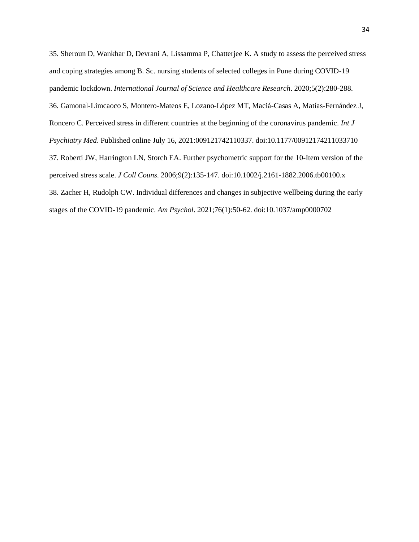35. Sheroun D, Wankhar D, Devrani A, Lissamma P, Chatterjee K. A study to assess the perceived stress and coping strategies among B. Sc. nursing students of selected colleges in Pune during COVID-19 pandemic lockdown. *International Journal of Science and Healthcare Research*. 2020;5(2):280-288. 36. Gamonal-Limcaoco S, Montero-Mateos E, Lozano-López MT, Maciá-Casas A, Matías-Fernández J, Roncero C. Perceived stress in different countries at the beginning of the coronavirus pandemic. *Int J Psychiatry Med*. Published online July 16, 2021:009121742110337. doi:10.1177/00912174211033710 37. Roberti JW, Harrington LN, Storch EA. Further psychometric support for the 10-Item version of the perceived stress scale. *J Coll Couns*. 2006;9(2):135-147. doi:10.1002/j.2161-1882.2006.tb00100.x 38. Zacher H, Rudolph CW. Individual differences and changes in subjective wellbeing during the early stages of the COVID-19 pandemic. *Am Psychol*. 2021;76(1):50-62. doi:10.1037/amp0000702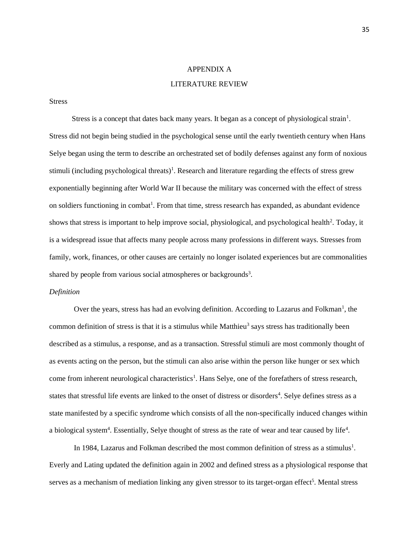# APPENDIX A

# LITERATURE REVIEW

Stress

Stress is a concept that dates back many years. It began as a concept of physiological strain<sup>1</sup>. Stress did not begin being studied in the psychological sense until the early twentieth century when Hans Selye began using the term to describe an orchestrated set of bodily defenses against any form of noxious stimuli (including psychological threats)<sup>1</sup>. Research and literature regarding the effects of stress grew exponentially beginning after World War II because the military was concerned with the effect of stress on soldiers functioning in combat<sup>1</sup>. From that time, stress research has expanded, as abundant evidence shows that stress is important to help improve social, physiological, and psychological health<sup>2</sup>. Today, it is a widespread issue that affects many people across many professions in different ways. Stresses from family, work, finances, or other causes are certainly no longer isolated experiences but are commonalities shared by people from various social atmospheres or backgrounds<sup>3</sup>.

### *Definition*

Over the years, stress has had an evolving definition. According to Lazarus and Folkman<sup>1</sup>, the common definition of stress is that it is a stimulus while Matthieu<sup>3</sup> says stress has traditionally been described as a stimulus, a response, and as a transaction. Stressful stimuli are most commonly thought of as events acting on the person, but the stimuli can also arise within the person like hunger or sex which come from inherent neurological characteristics<sup>1</sup>. Hans Selye, one of the forefathers of stress research, states that stressful life events are linked to the onset of distress or disorders<sup>4</sup>. Selye defines stress as a state manifested by a specific syndrome which consists of all the non-specifically induced changes within a biological system<sup>4</sup>. Essentially, Selye thought of stress as the rate of wear and tear caused by life<sup>4</sup>.

In 1984, Lazarus and Folkman described the most common definition of stress as a stimulus<sup>1</sup>. Everly and Lating updated the definition again in 2002 and defined stress as a physiological response that serves as a mechanism of mediation linking any given stressor to its target-organ effect<sup>5</sup>. Mental stress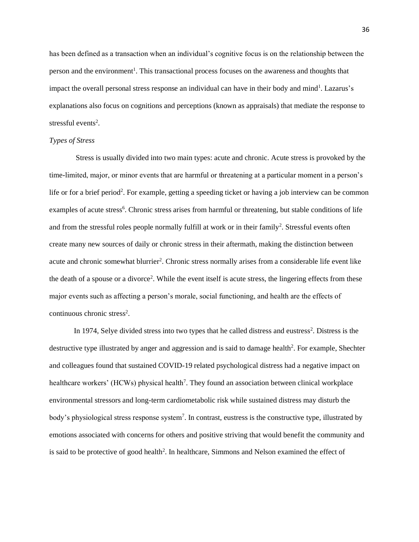has been defined as a transaction when an individual's cognitive focus is on the relationship between the person and the environment<sup>1</sup>. This transactional process focuses on the awareness and thoughts that impact the overall personal stress response an individual can have in their body and mind<sup>1</sup>. Lazarus's explanations also focus on cognitions and perceptions (known as appraisals) that mediate the response to stressful events<sup>2</sup>.

### *Types of Stress*

Stress is usually divided into two main types: acute and chronic. Acute stress is provoked by the time-limited, major, or minor events that are harmful or threatening at a particular moment in a person's life or for a brief period<sup>2</sup>. For example, getting a speeding ticket or having a job interview can be common examples of acute stress<sup>6</sup>. Chronic stress arises from harmful or threatening, but stable conditions of life and from the stressful roles people normally fulfill at work or in their family<sup>2</sup>. Stressful events often create many new sources of daily or chronic stress in their aftermath, making the distinction between acute and chronic somewhat blurrier<sup>2</sup>. Chronic stress normally arises from a considerable life event like the death of a spouse or a divorce<sup>2</sup>. While the event itself is acute stress, the lingering effects from these major events such as affecting a person's morale, social functioning, and health are the effects of continuous chronic stress<sup>2</sup>.

In 1974, Selye divided stress into two types that he called distress and eustress<sup>2</sup>. Distress is the destructive type illustrated by anger and aggression and is said to damage health<sup>2</sup>. For example, Shechter and colleagues found that sustained COVID-19 related psychological distress had a negative impact on healthcare workers' (HCWs) physical health<sup>7</sup>. They found an association between clinical workplace environmental stressors and long-term cardiometabolic risk while sustained distress may disturb the body's physiological stress response system<sup>7</sup>. In contrast, eustress is the constructive type, illustrated by emotions associated with concerns for others and positive striving that would benefit the community and is said to be protective of good health<sup>2</sup>. In healthcare, Simmons and Nelson examined the effect of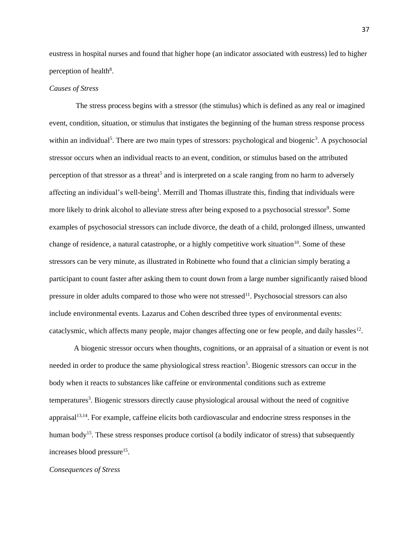eustress in hospital nurses and found that higher hope (an indicator associated with eustress) led to higher perception of health<sup>8</sup>.

### *Causes of Stress*

The stress process begins with a stressor (the stimulus) which is defined as any real or imagined event, condition, situation, or stimulus that instigates the beginning of the human stress response process within an individual<sup>5</sup>. There are two main types of stressors: psychological and biogenic<sup>3</sup>. A psychosocial stressor occurs when an individual reacts to an event, condition, or stimulus based on the attributed perception of that stressor as a threat<sup>5</sup> and is interpreted on a scale ranging from no harm to adversely affecting an individual's well-being<sup>1</sup>. Merrill and Thomas illustrate this, finding that individuals were more likely to drink alcohol to alleviate stress after being exposed to a psychosocial stressor<sup>9</sup>. Some examples of psychosocial stressors can include divorce, the death of a child, prolonged illness, unwanted change of residence, a natural catastrophe, or a highly competitive work situation<sup>10</sup>. Some of these stressors can be very minute, as illustrated in Robinette who found that a clinician simply berating a participant to count faster after asking them to count down from a large number significantly raised blood pressure in older adults compared to those who were not stressed<sup>11</sup>. Psychosocial stressors can also include environmental events. Lazarus and Cohen described three types of environmental events: cataclysmic, which affects many people, major changes affecting one or few people, and daily hassles<sup>12</sup>.

A biogenic stressor occurs when thoughts, cognitions, or an appraisal of a situation or event is not needed in order to produce the same physiological stress reaction<sup>5</sup>. Biogenic stressors can occur in the body when it reacts to substances like caffeine or environmental conditions such as extreme temperatures<sup>3</sup>. Biogenic stressors directly cause physiological arousal without the need of cognitive appraisal<sup>13,14</sup>. For example, caffeine elicits both cardiovascular and endocrine stress responses in the human body<sup>15</sup>. These stress responses produce cortisol (a bodily indicator of stress) that subsequently increases blood pressure<sup>15</sup>.

### *Consequences of Stress*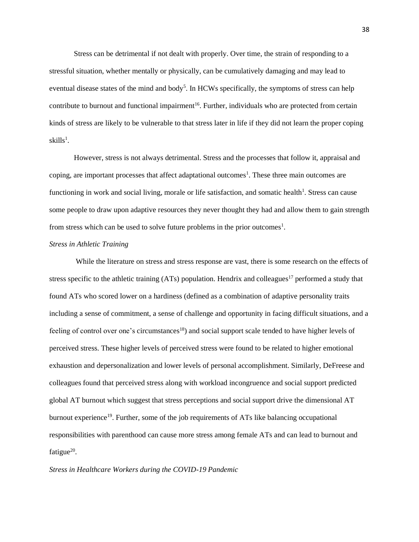Stress can be detrimental if not dealt with properly. Over time, the strain of responding to a stressful situation, whether mentally or physically, can be cumulatively damaging and may lead to eventual disease states of the mind and body<sup>5</sup>. In HCWs specifically, the symptoms of stress can help contribute to burnout and functional impairment<sup>16</sup>. Further, individuals who are protected from certain kinds of stress are likely to be vulnerable to that stress later in life if they did not learn the proper coping  $\rm skills^{1}.$ 

However, stress is not always detrimental. Stress and the processes that follow it, appraisal and coping, are important processes that affect adaptational outcomes<sup>1</sup>. These three main outcomes are functioning in work and social living, morale or life satisfaction, and somatic health<sup>1</sup>. Stress can cause some people to draw upon adaptive resources they never thought they had and allow them to gain strength from stress which can be used to solve future problems in the prior outcomes<sup>1</sup>.

# *Stress in Athletic Training*

While the literature on stress and stress response are vast, there is some research on the effects of stress specific to the athletic training (ATs) population. Hendrix and colleagues<sup>17</sup> performed a study that found ATs who scored lower on a hardiness (defined as a combination of adaptive personality traits including a sense of commitment, a sense of challenge and opportunity in facing difficult situations, and a feeling of control over one's circumstances<sup>18</sup>) and social support scale tended to have higher levels of perceived stress. These higher levels of perceived stress were found to be related to higher emotional exhaustion and depersonalization and lower levels of personal accomplishment. Similarly, DeFreese and colleagues found that perceived stress along with workload incongruence and social support predicted global AT burnout which suggest that stress perceptions and social support drive the dimensional AT burnout experience<sup>19</sup>. Further, some of the job requirements of ATs like balancing occupational responsibilities with parenthood can cause more stress among female ATs and can lead to burnout and fatigue $20$ .

*Stress in Healthcare Workers during the COVID-19 Pandemic*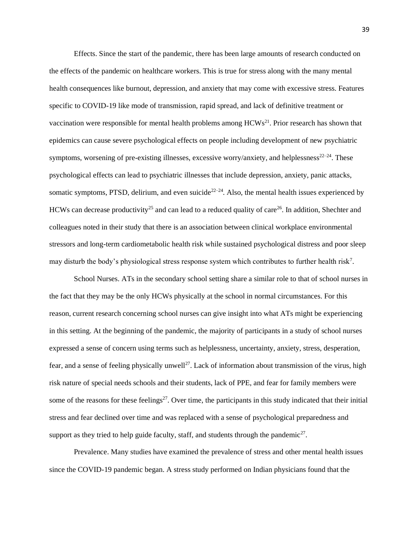Effects. Since the start of the pandemic, there has been large amounts of research conducted on the effects of the pandemic on healthcare workers. This is true for stress along with the many mental health consequences like burnout, depression, and anxiety that may come with excessive stress. Features specific to COVID-19 like mode of transmission, rapid spread, and lack of definitive treatment or vaccination were responsible for mental health problems among  $HCWs<sup>21</sup>$ . Prior research has shown that epidemics can cause severe psychological effects on people including development of new psychiatric symptoms, worsening of pre-existing illnesses, excessive worry/anxiety, and helplessness $22-24$ . These psychological effects can lead to psychiatric illnesses that include depression, anxiety, panic attacks, somatic symptoms, PTSD, delirium, and even suicide<sup>22–24</sup>. Also, the mental health issues experienced by HCWs can decrease productivity<sup>25</sup> and can lead to a reduced quality of care<sup>26</sup>. In addition, Shechter and colleagues noted in their study that there is an association between clinical workplace environmental stressors and long-term cardiometabolic health risk while sustained psychological distress and poor sleep may disturb the body's physiological stress response system which contributes to further health risk<sup>7</sup>.

School Nurses. ATs in the secondary school setting share a similar role to that of school nurses in the fact that they may be the only HCWs physically at the school in normal circumstances. For this reason, current research concerning school nurses can give insight into what ATs might be experiencing in this setting. At the beginning of the pandemic, the majority of participants in a study of school nurses expressed a sense of concern using terms such as helplessness, uncertainty, anxiety, stress, desperation, fear, and a sense of feeling physically unwell<sup>27</sup>. Lack of information about transmission of the virus, high risk nature of special needs schools and their students, lack of PPE, and fear for family members were some of the reasons for these feelings<sup>27</sup>. Over time, the participants in this study indicated that their initial stress and fear declined over time and was replaced with a sense of psychological preparedness and support as they tried to help guide faculty, staff, and students through the pandemic<sup>27</sup>.

Prevalence. Many studies have examined the prevalence of stress and other mental health issues since the COVID-19 pandemic began. A stress study performed on Indian physicians found that the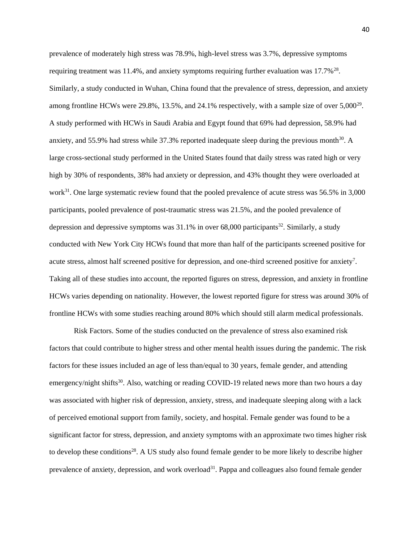prevalence of moderately high stress was 78.9%, high-level stress was 3.7%, depressive symptoms requiring treatment was 11.4%, and anxiety symptoms requiring further evaluation was  $17.7\%^{28}$ . Similarly, a study conducted in Wuhan, China found that the prevalence of stress, depression, and anxiety among frontline HCWs were 29.8%, 13.5%, and 24.1% respectively, with a sample size of over  $5,000^{29}$ . A study performed with HCWs in Saudi Arabia and Egypt found that 69% had depression, 58.9% had anxiety, and 55.9% had stress while 37.3% reported inadequate sleep during the previous month<sup>30</sup>. A large cross-sectional study performed in the United States found that daily stress was rated high or very high by 30% of respondents, 38% had anxiety or depression, and 43% thought they were overloaded at work<sup>31</sup>. One large systematic review found that the pooled prevalence of acute stress was 56.5% in 3,000 participants, pooled prevalence of post-traumatic stress was 21.5%, and the pooled prevalence of depression and depressive symptoms was  $31.1\%$  in over 68,000 participants<sup>32</sup>. Similarly, a study conducted with New York City HCWs found that more than half of the participants screened positive for acute stress, almost half screened positive for depression, and one-third screened positive for anxiety<sup>7</sup>. Taking all of these studies into account, the reported figures on stress, depression, and anxiety in frontline HCWs varies depending on nationality. However, the lowest reported figure for stress was around 30% of frontline HCWs with some studies reaching around 80% which should still alarm medical professionals.

Risk Factors. Some of the studies conducted on the prevalence of stress also examined risk factors that could contribute to higher stress and other mental health issues during the pandemic. The risk factors for these issues included an age of less than/equal to 30 years, female gender, and attending emergency/night shifts<sup>30</sup>. Also, watching or reading COVID-19 related news more than two hours a day was associated with higher risk of depression, anxiety, stress, and inadequate sleeping along with a lack of perceived emotional support from family, society, and hospital. Female gender was found to be a significant factor for stress, depression, and anxiety symptoms with an approximate two times higher risk to develop these conditions<sup>28</sup>. A US study also found female gender to be more likely to describe higher prevalence of anxiety, depression, and work overload<sup>31</sup>. Pappa and colleagues also found female gender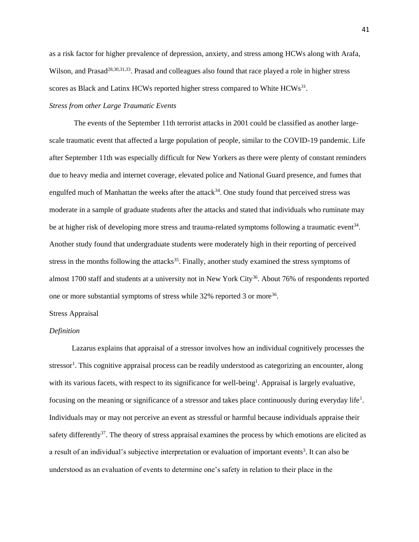as a risk factor for higher prevalence of depression, anxiety, and stress among HCWs along with Arafa, Wilson, and Prasad<sup>28,30,31,33</sup>. Prasad and colleagues also found that race played a role in higher stress scores as Black and Latinx HCWs reported higher stress compared to White  $HCWs^{31}$ .

# *Stress from other Large Traumatic Events*

The events of the September 11th terrorist attacks in 2001 could be classified as another largescale traumatic event that affected a large population of people, similar to the COVID-19 pandemic. Life after September 11th was especially difficult for New Yorkers as there were plenty of constant reminders due to heavy media and internet coverage, elevated police and National Guard presence, and fumes that engulfed much of Manhattan the weeks after the attack<sup>34</sup>. One study found that perceived stress was moderate in a sample of graduate students after the attacks and stated that individuals who ruminate may be at higher risk of developing more stress and trauma-related symptoms following a traumatic event<sup>34</sup>. Another study found that undergraduate students were moderately high in their reporting of perceived stress in the months following the attacks<sup>35</sup>. Finally, another study examined the stress symptoms of almost 1700 staff and students at a university not in New York City<sup>36</sup>. About 76% of respondents reported one or more substantial symptoms of stress while 32% reported 3 or more<sup>36</sup>.

### Stress Appraisal

## *Definition*

Lazarus explains that appraisal of a stressor involves how an individual cognitively processes the stressor<sup>1</sup>. This cognitive appraisal process can be readily understood as categorizing an encounter, along with its various facets, with respect to its significance for well-being<sup>1</sup>. Appraisal is largely evaluative, focusing on the meaning or significance of a stressor and takes place continuously during everyday life<sup>1</sup>. Individuals may or may not perceive an event as stressful or harmful because individuals appraise their safety differently<sup>37</sup>. The theory of stress appraisal examines the process by which emotions are elicited as a result of an individual's subjective interpretation or evaluation of important events<sup>3</sup>. It can also be understood as an evaluation of events to determine one's safety in relation to their place in the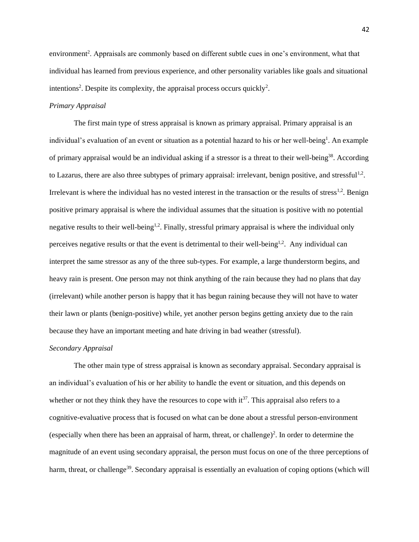environment<sup>2</sup>. Appraisals are commonly based on different subtle cues in one's environment, what that individual has learned from previous experience, and other personality variables like goals and situational intentions<sup>2</sup>. Despite its complexity, the appraisal process occurs quickly<sup>2</sup>.

### *Primary Appraisal*

The first main type of stress appraisal is known as primary appraisal. Primary appraisal is an individual's evaluation of an event or situation as a potential hazard to his or her well-being<sup>1</sup>. An example of primary appraisal would be an individual asking if a stressor is a threat to their well-being<sup>38</sup>. According to Lazarus, there are also three subtypes of primary appraisal: irrelevant, benign positive, and stressful<sup>1,2</sup>. Irrelevant is where the individual has no vested interest in the transaction or the results of stress<sup>1,2</sup>. Benign positive primary appraisal is where the individual assumes that the situation is positive with no potential negative results to their well-being<sup>1,2</sup>. Finally, stressful primary appraisal is where the individual only perceives negative results or that the event is detrimental to their well-being<sup>1,2</sup>. Any individual can interpret the same stressor as any of the three sub-types. For example, a large thunderstorm begins, and heavy rain is present. One person may not think anything of the rain because they had no plans that day (irrelevant) while another person is happy that it has begun raining because they will not have to water their lawn or plants (benign-positive) while, yet another person begins getting anxiety due to the rain because they have an important meeting and hate driving in bad weather (stressful).

### *Secondary Appraisal*

The other main type of stress appraisal is known as secondary appraisal. Secondary appraisal is an individual's evaluation of his or her ability to handle the event or situation, and this depends on whether or not they think they have the resources to cope with  $it^{37}$ . This appraisal also refers to a cognitive-evaluative process that is focused on what can be done about a stressful person-environment (especially when there has been an appraisal of harm, threat, or challenge)<sup>2</sup>. In order to determine the magnitude of an event using secondary appraisal, the person must focus on one of the three perceptions of harm, threat, or challenge<sup>39</sup>. Secondary appraisal is essentially an evaluation of coping options (which will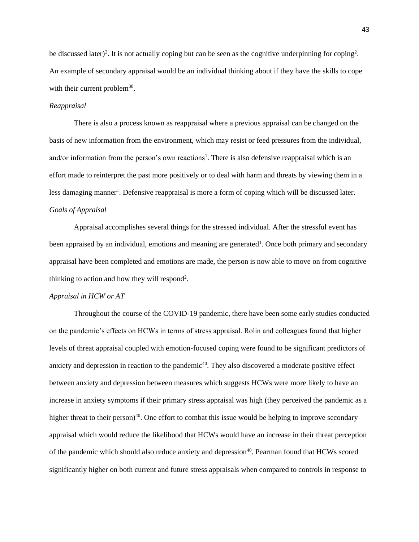be discussed later)<sup>2</sup>. It is not actually coping but can be seen as the cognitive underpinning for coping<sup>2</sup>. An example of secondary appraisal would be an individual thinking about if they have the skills to cope with their current problem<sup>38</sup>.

### *Reappraisal*

There is also a process known as reappraisal where a previous appraisal can be changed on the basis of new information from the environment, which may resist or feed pressures from the individual, and/or information from the person's own reactions<sup>1</sup>. There is also defensive reappraisal which is an effort made to reinterpret the past more positively or to deal with harm and threats by viewing them in a less damaging manner<sup>1</sup>. Defensive reappraisal is more a form of coping which will be discussed later. *Goals of Appraisal*

Appraisal accomplishes several things for the stressed individual. After the stressful event has been appraised by an individual, emotions and meaning are generated<sup>1</sup>. Once both primary and secondary appraisal have been completed and emotions are made, the person is now able to move on from cognitive thinking to action and how they will respond<sup>2</sup>.

### *Appraisal in HCW or AT*

Throughout the course of the COVID-19 pandemic, there have been some early studies conducted on the pandemic's effects on HCWs in terms of stress appraisal. Rolin and colleagues found that higher levels of threat appraisal coupled with emotion-focused coping were found to be significant predictors of anxiety and depression in reaction to the pandemic<sup>40</sup>. They also discovered a moderate positive effect between anxiety and depression between measures which suggests HCWs were more likely to have an increase in anxiety symptoms if their primary stress appraisal was high (they perceived the pandemic as a higher threat to their person)<sup>40</sup>. One effort to combat this issue would be helping to improve secondary appraisal which would reduce the likelihood that HCWs would have an increase in their threat perception of the pandemic which should also reduce anxiety and depression<sup>40</sup>. Pearman found that HCWs scored significantly higher on both current and future stress appraisals when compared to controls in response to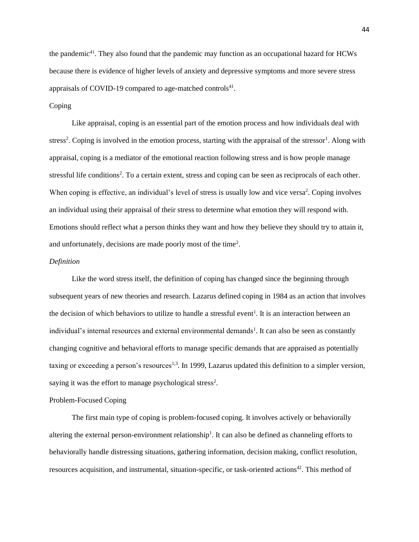the pandemic<sup>41</sup>. They also found that the pandemic may function as an occupational hazard for HCWs because there is evidence of higher levels of anxiety and depressive symptoms and more severe stress appraisals of COVID-19 compared to age-matched controls<sup>41</sup>.

### Coping

Like appraisal, coping is an essential part of the emotion process and how individuals deal with stress<sup>2</sup>. Coping is involved in the emotion process, starting with the appraisal of the stressor<sup>1</sup>. Along with appraisal, coping is a mediator of the emotional reaction following stress and is how people manage stressful life conditions<sup>2</sup>. To a certain extent, stress and coping can be seen as reciprocals of each other. When coping is effective, an individual's level of stress is usually low and vice versa<sup>2</sup>. Coping involves an individual using their appraisal of their stress to determine what emotion they will respond with. Emotions should reflect what a person thinks they want and how they believe they should try to attain it, and unfortunately, decisions are made poorly most of the time<sup>2</sup>.

### *Definition*

Like the word stress itself, the definition of coping has changed since the beginning through subsequent years of new theories and research. Lazarus defined coping in 1984 as an action that involves the decision of which behaviors to utilize to handle a stressful event<sup>1</sup>. It is an interaction between an individual's internal resources and external environmental demands<sup>1</sup>. It can also be seen as constantly changing cognitive and behavioral efforts to manage specific demands that are appraised as potentially taxing or exceeding a person's resources<sup>1,3</sup>. In 1999, Lazarus updated this definition to a simpler version, saying it was the effort to manage psychological stress<sup>2</sup>.

### Problem-Focused Coping

The first main type of coping is problem-focused coping. It involves actively or behaviorally altering the external person-environment relationship<sup>1</sup>. It can also be defined as channeling efforts to behaviorally handle distressing situations, gathering information, decision making, conflict resolution, resources acquisition, and instrumental, situation-specific, or task-oriented actions<sup>42</sup>. This method of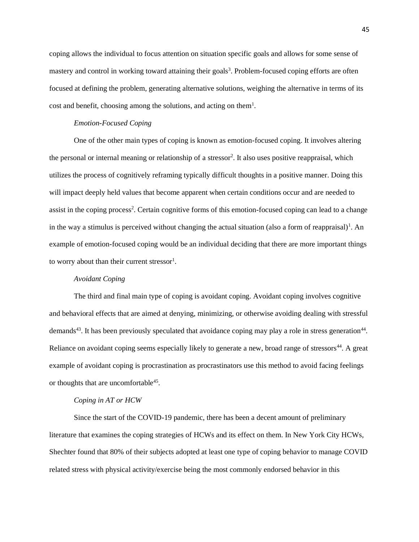coping allows the individual to focus attention on situation specific goals and allows for some sense of mastery and control in working toward attaining their goals<sup>3</sup>. Problem-focused coping efforts are often focused at defining the problem, generating alternative solutions, weighing the alternative in terms of its cost and benefit, choosing among the solutions, and acting on them<sup>1</sup>.

### *Emotion-Focused Coping*

One of the other main types of coping is known as emotion-focused coping. It involves altering the personal or internal meaning or relationship of a stressor<sup>2</sup>. It also uses positive reappraisal, which utilizes the process of cognitively reframing typically difficult thoughts in a positive manner. Doing this will impact deeply held values that become apparent when certain conditions occur and are needed to assist in the coping process<sup>2</sup>. Certain cognitive forms of this emotion-focused coping can lead to a change in the way a stimulus is perceived without changing the actual situation (also a form of reappraisal)<sup>1</sup>. An example of emotion-focused coping would be an individual deciding that there are more important things to worry about than their current stressor<sup>1</sup>.

### *Avoidant Coping*

The third and final main type of coping is avoidant coping. Avoidant coping involves cognitive and behavioral effects that are aimed at denying, minimizing, or otherwise avoiding dealing with stressful demands<sup>43</sup>. It has been previously speculated that avoidance coping may play a role in stress generation<sup>44</sup>. Reliance on avoidant coping seems especially likely to generate a new, broad range of stressors<sup>44</sup>. A great example of avoidant coping is procrastination as procrastinators use this method to avoid facing feelings or thoughts that are uncomfortable<sup>45</sup>.

### *Coping in AT or HCW*

Since the start of the COVID-19 pandemic, there has been a decent amount of preliminary literature that examines the coping strategies of HCWs and its effect on them. In New York City HCWs, Shechter found that 80% of their subjects adopted at least one type of coping behavior to manage COVID related stress with physical activity/exercise being the most commonly endorsed behavior in this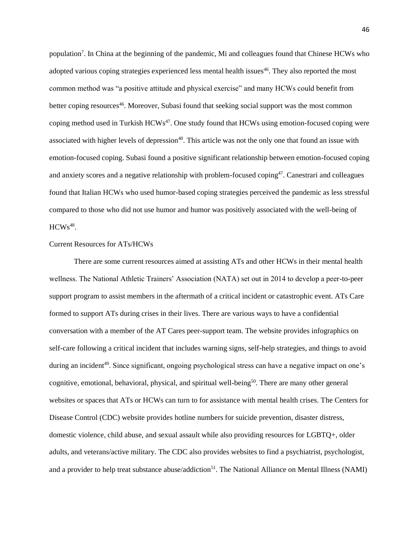population<sup>7</sup>. In China at the beginning of the pandemic, Mi and colleagues found that Chinese HCWs who adopted various coping strategies experienced less mental health issues<sup>46</sup>. They also reported the most common method was "a positive attitude and physical exercise" and many HCWs could benefit from better coping resources<sup>46</sup>. Moreover, Subasi found that seeking social support was the most common coping method used in Turkish HCWs<sup>47</sup>. One study found that HCWs using emotion-focused coping were associated with higher levels of depression<sup>40</sup>. This article was not the only one that found an issue with emotion-focused coping. Subasi found a positive significant relationship between emotion-focused coping and anxiety scores and a negative relationship with problem-focused coping<sup>47</sup>. Canestrari and colleagues found that Italian HCWs who used humor-based coping strategies perceived the pandemic as less stressful compared to those who did not use humor and humor was positively associated with the well-being of  $HCWs<sup>48</sup>$ .

# Current Resources for ATs/HCWs

There are some current resources aimed at assisting ATs and other HCWs in their mental health wellness. The National Athletic Trainers' Association (NATA) set out in 2014 to develop a peer-to-peer support program to assist members in the aftermath of a critical incident or catastrophic event. ATs Care formed to support ATs during crises in their lives. There are various ways to have a confidential conversation with a member of the AT Cares peer-support team. The website provides infographics on self-care following a critical incident that includes warning signs, self-help strategies, and things to avoid during an incident<sup>49</sup>. Since significant, ongoing psychological stress can have a negative impact on one's cognitive, emotional, behavioral, physical, and spiritual well-being<sup>50</sup>. There are many other general websites or spaces that ATs or HCWs can turn to for assistance with mental health crises. The Centers for Disease Control (CDC) website provides hotline numbers for suicide prevention, disaster distress, domestic violence, child abuse, and sexual assault while also providing resources for LGBTQ+, older adults, and veterans/active military. The CDC also provides websites to find a psychiatrist, psychologist, and a provider to help treat substance abuse/addiction<sup>51</sup>. The National Alliance on Mental Illness (NAMI)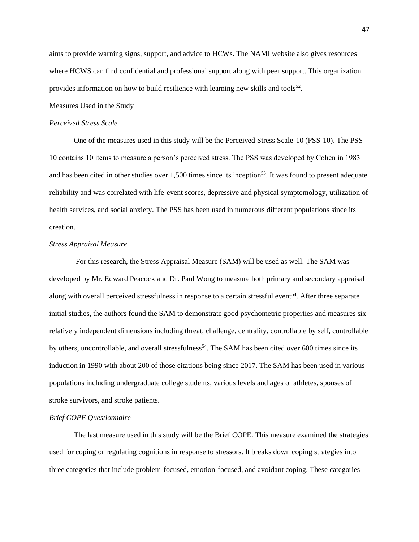aims to provide warning signs, support, and advice to HCWs. The NAMI website also gives resources where HCWS can find confidential and professional support along with peer support. This organization provides information on how to build resilience with learning new skills and tools<sup>52</sup>.

Measures Used in the Study

### *Perceived Stress Scale*

One of the measures used in this study will be the Perceived Stress Scale-10 (PSS-10). The PSS-10 contains 10 items to measure a person's perceived stress. The PSS was developed by Cohen in 1983 and has been cited in other studies over 1,500 times since its inception<sup>53</sup>. It was found to present adequate reliability and was correlated with life-event scores, depressive and physical symptomology, utilization of health services, and social anxiety. The PSS has been used in numerous different populations since its creation.

### *Stress Appraisal Measure*

For this research, the Stress Appraisal Measure (SAM) will be used as well. The SAM was developed by Mr. Edward Peacock and Dr. Paul Wong to measure both primary and secondary appraisal along with overall perceived stressfulness in response to a certain stressful event<sup>54</sup>. After three separate initial studies, the authors found the SAM to demonstrate good psychometric properties and measures six relatively independent dimensions including threat, challenge, centrality, controllable by self, controllable by others, uncontrollable, and overall stressfulness<sup>54</sup>. The SAM has been cited over 600 times since its induction in 1990 with about 200 of those citations being since 2017. The SAM has been used in various populations including undergraduate college students, various levels and ages of athletes, spouses of stroke survivors, and stroke patients.

### *Brief COPE Questionnaire*

The last measure used in this study will be the Brief COPE. This measure examined the strategies used for coping or regulating cognitions in response to stressors. It breaks down coping strategies into three categories that include problem-focused, emotion-focused, and avoidant coping. These categories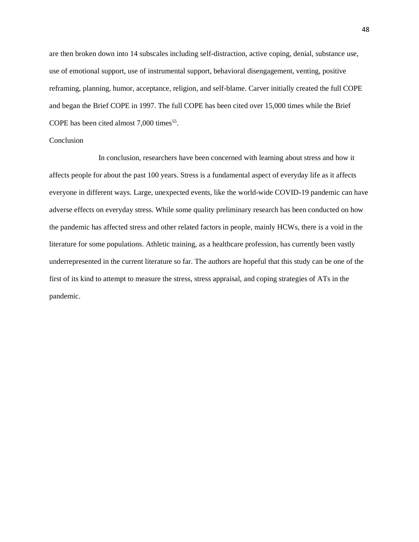are then broken down into 14 subscales including self-distraction, active coping, denial, substance use, use of emotional support, use of instrumental support, behavioral disengagement, venting, positive reframing, planning, humor, acceptance, religion, and self-blame. Carver initially created the full COPE and began the Brief COPE in 1997. The full COPE has been cited over 15,000 times while the Brief COPE has been cited almost  $7,000$  times<sup>55</sup>.

### Conclusion

In conclusion, researchers have been concerned with learning about stress and how it affects people for about the past 100 years. Stress is a fundamental aspect of everyday life as it affects everyone in different ways. Large, unexpected events, like the world-wide COVID-19 pandemic can have adverse effects on everyday stress. While some quality preliminary research has been conducted on how the pandemic has affected stress and other related factors in people, mainly HCWs, there is a void in the literature for some populations. Athletic training, as a healthcare profession, has currently been vastly underrepresented in the current literature so far. The authors are hopeful that this study can be one of the first of its kind to attempt to measure the stress, stress appraisal, and coping strategies of ATs in the pandemic.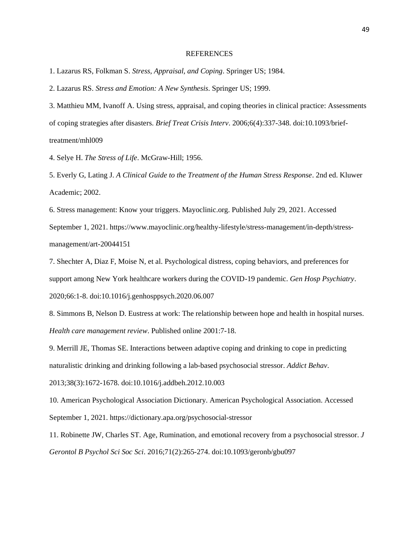#### REFERENCES

1. Lazarus RS, Folkman S. *Stress, Appraisal, and Coping*. Springer US; 1984.

2. Lazarus RS. *Stress and Emotion: A New Synthesis*. Springer US; 1999.

3. Matthieu MM, Ivanoff A. Using stress, appraisal, and coping theories in clinical practice: Assessments of coping strategies after disasters. *Brief Treat Crisis Interv*. 2006;6(4):337-348. doi:10.1093/brieftreatment/mhl009

4. Selye H. *The Stress of Life*. McGraw-Hill; 1956.

5. Everly G, Lating J. *A Clinical Guide to the Treatment of the Human Stress Response*. 2nd ed. Kluwer Academic; 2002.

6. Stress management: Know your triggers. Mayoclinic.org. Published July 29, 2021. Accessed September 1, 2021. https://www.mayoclinic.org/healthy-lifestyle/stress-management/in-depth/stressmanagement/art-20044151

7. Shechter A, Diaz F, Moise N, et al. Psychological distress, coping behaviors, and preferences for support among New York healthcare workers during the COVID-19 pandemic. *Gen Hosp Psychiatry*. 2020;66:1-8. doi:10.1016/j.genhosppsych.2020.06.007

8. Simmons B, Nelson D. Eustress at work: The relationship between hope and health in hospital nurses. *Health care management review*. Published online 2001:7-18.

9. Merrill JE, Thomas SE. Interactions between adaptive coping and drinking to cope in predicting naturalistic drinking and drinking following a lab-based psychosocial stressor. *Addict Behav*.

2013;38(3):1672-1678. doi:10.1016/j.addbeh.2012.10.003

10. American Psychological Association Dictionary. American Psychological Association. Accessed September 1, 2021. https://dictionary.apa.org/psychosocial-stressor

11. Robinette JW, Charles ST. Age, Rumination, and emotional recovery from a psychosocial stressor. *J Gerontol B Psychol Sci Soc Sci*. 2016;71(2):265-274. doi:10.1093/geronb/gbu097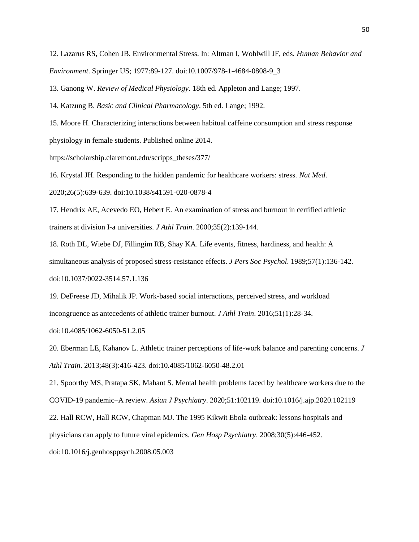12. Lazarus RS, Cohen JB. Environmental Stress. In: Altman I, Wohlwill JF, eds. *Human Behavior and Environment*. Springer US; 1977:89-127. doi:10.1007/978-1-4684-0808-9\_3

13. Ganong W. *Review of Medical Physiology*. 18th ed. Appleton and Lange; 1997.

14. Katzung B. *Basic and Clinical Pharmacology*. 5th ed. Lange; 1992.

15. Moore H. Characterizing interactions between habitual caffeine consumption and stress response physiology in female students. Published online 2014.

https://scholarship.claremont.edu/scripps\_theses/377/

16. Krystal JH. Responding to the hidden pandemic for healthcare workers: stress. *Nat Med*.

2020;26(5):639-639. doi:10.1038/s41591-020-0878-4

17. Hendrix AE, Acevedo EO, Hebert E. An examination of stress and burnout in certified athletic trainers at division I-a universities. *J Athl Train*. 2000;35(2):139-144.

18. Roth DL, Wiebe DJ, Fillingim RB, Shay KA. Life events, fitness, hardiness, and health: A simultaneous analysis of proposed stress-resistance effects. *J Pers Soc Psychol*. 1989;57(1):136-142. doi:10.1037/0022-3514.57.1.136

19. DeFreese JD, Mihalik JP. Work-based social interactions, perceived stress, and workload incongruence as antecedents of athletic trainer burnout. *J Athl Train*. 2016;51(1):28-34.

doi:10.4085/1062-6050-51.2.05

20. Eberman LE, Kahanov L. Athletic trainer perceptions of life-work balance and parenting concerns. *J Athl Train*. 2013;48(3):416-423. doi:10.4085/1062-6050-48.2.01

21. Spoorthy MS, Pratapa SK, Mahant S. Mental health problems faced by healthcare workers due to the COVID-19 pandemic–A review. *Asian J Psychiatry*. 2020;51:102119. doi:10.1016/j.ajp.2020.102119 22. Hall RCW, Hall RCW, Chapman MJ. The 1995 Kikwit Ebola outbreak: lessons hospitals and

physicians can apply to future viral epidemics. *Gen Hosp Psychiatry*. 2008;30(5):446-452.

doi:10.1016/j.genhosppsych.2008.05.003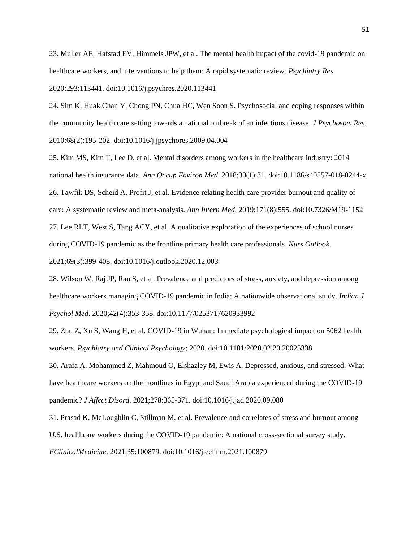23. Muller AE, Hafstad EV, Himmels JPW, et al. The mental health impact of the covid-19 pandemic on healthcare workers, and interventions to help them: A rapid systematic review. *Psychiatry Res*.

2020;293:113441. doi:10.1016/j.psychres.2020.113441

24. Sim K, Huak Chan Y, Chong PN, Chua HC, Wen Soon S. Psychosocial and coping responses within the community health care setting towards a national outbreak of an infectious disease. *J Psychosom Res*. 2010;68(2):195-202. doi:10.1016/j.jpsychores.2009.04.004

25. Kim MS, Kim T, Lee D, et al. Mental disorders among workers in the healthcare industry: 2014 national health insurance data. *Ann Occup Environ Med*. 2018;30(1):31. doi:10.1186/s40557-018-0244-x 26. Tawfik DS, Scheid A, Profit J, et al. Evidence relating health care provider burnout and quality of care: A systematic review and meta-analysis. *Ann Intern Med*. 2019;171(8):555. doi:10.7326/M19-1152 27. Lee RLT, West S, Tang ACY, et al. A qualitative exploration of the experiences of school nurses during COVID-19 pandemic as the frontline primary health care professionals. *Nurs Outlook*. 2021;69(3):399-408. doi:10.1016/j.outlook.2020.12.003

28. Wilson W, Raj JP, Rao S, et al. Prevalence and predictors of stress, anxiety, and depression among healthcare workers managing COVID-19 pandemic in India: A nationwide observational study. *Indian J Psychol Med*. 2020;42(4):353-358. doi:10.1177/0253717620933992

29. Zhu Z, Xu S, Wang H, et al. COVID-19 in Wuhan: Immediate psychological impact on 5062 health workers. *Psychiatry and Clinical Psychology*; 2020. doi:10.1101/2020.02.20.20025338

30. Arafa A, Mohammed Z, Mahmoud O, Elshazley M, Ewis A. Depressed, anxious, and stressed: What have healthcare workers on the frontlines in Egypt and Saudi Arabia experienced during the COVID-19 pandemic? *J Affect Disord*. 2021;278:365-371. doi:10.1016/j.jad.2020.09.080

31. Prasad K, McLoughlin C, Stillman M, et al. Prevalence and correlates of stress and burnout among U.S. healthcare workers during the COVID-19 pandemic: A national cross-sectional survey study. *EClinicalMedicine*. 2021;35:100879. doi:10.1016/j.eclinm.2021.100879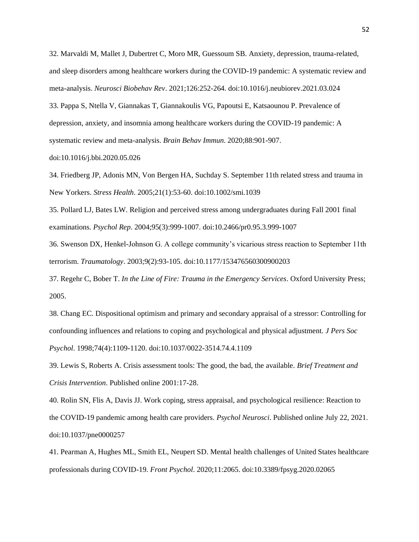32. Marvaldi M, Mallet J, Dubertret C, Moro MR, Guessoum SB. Anxiety, depression, trauma-related, and sleep disorders among healthcare workers during the COVID-19 pandemic: A systematic review and meta-analysis. *Neurosci Biobehav Rev*. 2021;126:252-264. doi:10.1016/j.neubiorev.2021.03.024

33. Pappa S, Ntella V, Giannakas T, Giannakoulis VG, Papoutsi E, Katsaounou P. Prevalence of depression, anxiety, and insomnia among healthcare workers during the COVID-19 pandemic: A systematic review and meta-analysis. *Brain Behav Immun*. 2020;88:901-907.

doi:10.1016/j.bbi.2020.05.026

34. Friedberg JP, Adonis MN, Von Bergen HA, Suchday S. September 11th related stress and trauma in New Yorkers. *Stress Health*. 2005;21(1):53-60. doi:10.1002/smi.1039

35. Pollard LJ, Bates LW. Religion and perceived stress among undergraduates during Fall 2001 final examinations. *Psychol Rep*. 2004;95(3):999-1007. doi:10.2466/pr0.95.3.999-1007

36. Swenson DX, Henkel-Johnson G. A college community's vicarious stress reaction to September 11th terrorism. *Traumatology*. 2003;9(2):93-105. doi:10.1177/153476560300900203

37. Regehr C, Bober T. *In the Line of Fire: Trauma in the Emergency Services*. Oxford University Press; 2005.

38. Chang EC. Dispositional optimism and primary and secondary appraisal of a stressor: Controlling for confounding influences and relations to coping and psychological and physical adjustment. *J Pers Soc Psychol*. 1998;74(4):1109-1120. doi:10.1037/0022-3514.74.4.1109

39. Lewis S, Roberts A. Crisis assessment tools: The good, the bad, the available. *Brief Treatment and Crisis Intervention*. Published online 2001:17-28.

40. Rolin SN, Flis A, Davis JJ. Work coping, stress appraisal, and psychological resilience: Reaction to the COVID-19 pandemic among health care providers. *Psychol Neurosci*. Published online July 22, 2021. doi:10.1037/pne0000257

41. Pearman A, Hughes ML, Smith EL, Neupert SD. Mental health challenges of United States healthcare professionals during COVID-19. *Front Psychol*. 2020;11:2065. doi:10.3389/fpsyg.2020.02065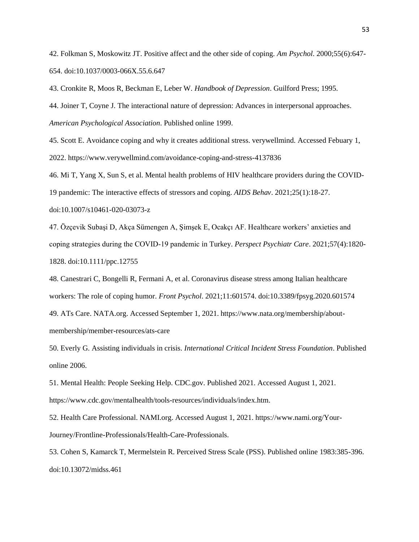42. Folkman S, Moskowitz JT. Positive affect and the other side of coping. *Am Psychol*. 2000;55(6):647- 654. doi:10.1037/0003-066X.55.6.647

43. Cronkite R, Moos R, Beckman E, Leber W. *Handbook of Depression*. Guilford Press; 1995.

44. Joiner T, Coyne J. The interactional nature of depression: Advances in interpersonal approaches. *American Psychological Association*. Published online 1999.

45. Scott E. Avoidance coping and why it creates additional stress. verywellmind. Accessed Febuary 1, 2022. https://www.verywellmind.com/avoidance-coping-and-stress-4137836

46. Mi T, Yang X, Sun S, et al. Mental health problems of HIV healthcare providers during the COVID-

19 pandemic: The interactive effects of stressors and coping. *AIDS Behav*. 2021;25(1):18-27.

doi:10.1007/s10461-020-03073-z

47. Özçevik Subaşi D, Akça Sümengen A, Şimşek E, Ocakçı AF. Healthcare workers' anxieties and coping strategies during the COVID‐19 pandemic in Turkey. *Perspect Psychiatr Care*. 2021;57(4):1820- 1828. doi:10.1111/ppc.12755

48. Canestrari C, Bongelli R, Fermani A, et al. Coronavirus disease stress among Italian healthcare workers: The role of coping humor. *Front Psychol*. 2021;11:601574. doi:10.3389/fpsyg.2020.601574 49. ATs Care. NATA.org. Accessed September 1, 2021. https://www.nata.org/membership/about-

membership/member-resources/ats-care

50. Everly G. Assisting individuals in crisis. *International Critical Incident Stress Foundation*. Published online 2006.

51. Mental Health: People Seeking Help. CDC.gov. Published 2021. Accessed August 1, 2021. https://www.cdc.gov/mentalhealth/tools-resources/individuals/index.htm.

52. Health Care Professional. NAMI.org. Accessed August 1, 2021. https://www.nami.org/Your-Journey/Frontline-Professionals/Health-Care-Professionals.

53. Cohen S, Kamarck T, Mermelstein R. Perceived Stress Scale (PSS). Published online 1983:385-396. doi:10.13072/midss.461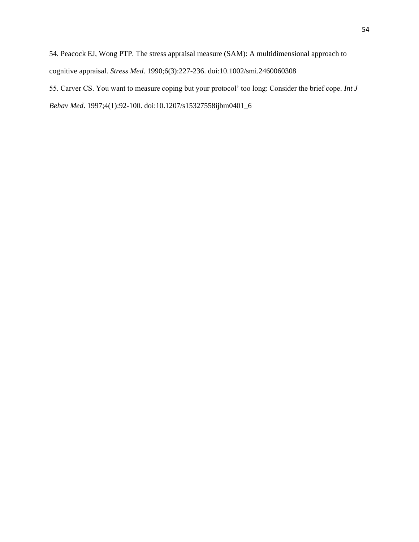54. Peacock EJ, Wong PTP. The stress appraisal measure (SAM): A multidimensional approach to cognitive appraisal. *Stress Med*. 1990;6(3):227-236. doi:10.1002/smi.2460060308 55. Carver CS. You want to measure coping but your protocol' too long: Consider the brief cope. *Int J Behav Med*. 1997;4(1):92-100. doi:10.1207/s15327558ijbm0401\_6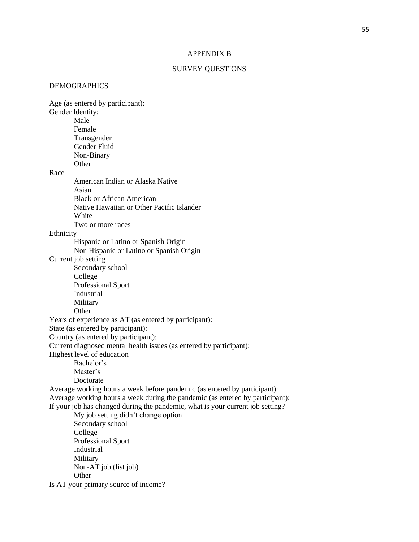### APPENDIX B

### SURVEY QUESTIONS

### DEMOGRAPHICS

Age (as entered by participant): Gender Identity: Male Female **Transgender** Gender Fluid Non-Binary **Other** Race American Indian or Alaska Native Asian Black or African American Native Hawaiian or Other Pacific Islander White Two or more races Ethnicity Hispanic or Latino or Spanish Origin Non Hispanic or Latino or Spanish Origin Current job setting Secondary school College Professional Sport Industrial Military **Other** Years of experience as AT (as entered by participant): State (as entered by participant): Country (as entered by participant): Current diagnosed mental health issues (as entered by participant): Highest level of education Bachelor's Master's Doctorate Average working hours a week before pandemic (as entered by participant): Average working hours a week during the pandemic (as entered by participant): If your job has changed during the pandemic, what is your current job setting? My job setting didn't change option Secondary school College Professional Sport Industrial Military Non-AT job (list job) Other Is AT your primary source of income?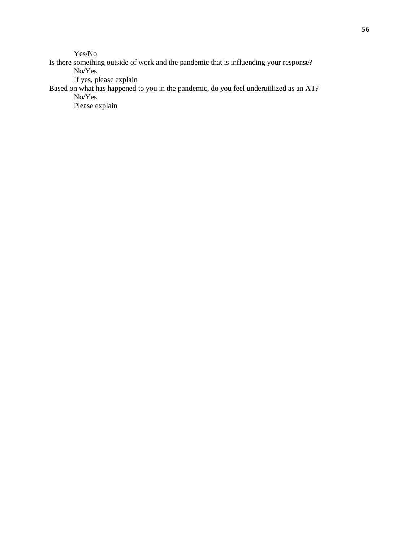Yes/No

Is there something outside of work and the pandemic that is influencing your response? No/Yes If yes, please explain

Based on what has happened to you in the pandemic, do you feel underutilized as an AT? No/Yes

Please explain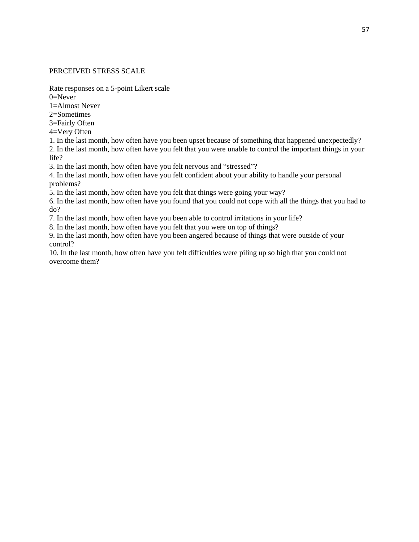# PERCEIVED STRESS SCALE

Rate responses on a 5-point Likert scale

 $0=$ Never

1=Almost Never

2=Sometimes

3=Fairly Often

- 4=Very Often
- 1. In the last month, how often have you been upset because of something that happened unexpectedly?

2. In the last month, how often have you felt that you were unable to control the important things in your life?

3. In the last month, how often have you felt nervous and "stressed"?

4. In the last month, how often have you felt confident about your ability to handle your personal problems?

5. In the last month, how often have you felt that things were going your way?

6. In the last month, how often have you found that you could not cope with all the things that you had to do?

7. In the last month, how often have you been able to control irritations in your life?

8. In the last month, how often have you felt that you were on top of things?

9. In the last month, how often have you been angered because of things that were outside of your control?

10. In the last month, how often have you felt difficulties were piling up so high that you could not overcome them?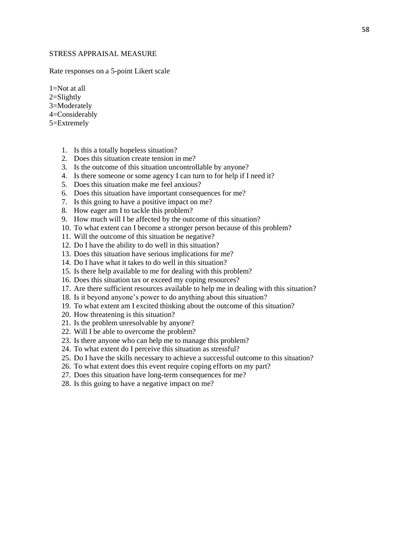### STRESS APPRAISAL MEASURE

Rate responses on a 5-point Likert scale

1=Not at all

- 2=Slightly 3=Moderately 4=Considerably
- 5=Extremely
	- 1. Is this a totally hopeless situation?
	- 2. Does this situation create tension in me?
	- 3. Is the outcome of this situation uncontrollable by anyone?
	- 4. Is there someone or some agency I can turn to for help if I need it?
	- 5. Does this situation make me feel anxious?
	- 6. Does this situation have important consequences for me?
	- 7. Is this going to have a positive impact on me?
	- 8. How eager am I to tackle this problem?
	- 9. How much will I be affected by the outcome of this situation?
	- 10. To what extent can I become a stronger person because of this problem?
	- 11. Will the outcome of this situation be negative?
	- 12. Do I have the ability to do well in this situation?
	- 13. Does this situation have serious implications for me?
	- 14. Do I have what it takes to do well in this situation?
	- 15. Is there help available to me for dealing with this problem?
	- 16. Does this situation tax or exceed my coping resources?
	- 17. Are there sufficient resources available to help me in dealing with this situation?
	- 18. Is it beyond anyone's power to do anything about this situation?
	- 19. To what extent am I excited thinking about the outcome of this situation?
	- 20. How threatening is this situation?
	- 21. Is the problem unresolvable by anyone?
	- 22. Will I be able to overcome the problem?
	- 23. Is there anyone who can help me to manage this problem?
	- 24. To what extent do I perceive this situation as stressful?
	- 25. Do I have the skills necessary to achieve a successful outcome to this situation?
	- 26. To what extent does this event require coping efforts on my part?
	- 27. Does this situation have long-term consequences for me?
	- 28. Is this going to have a negative impact on me?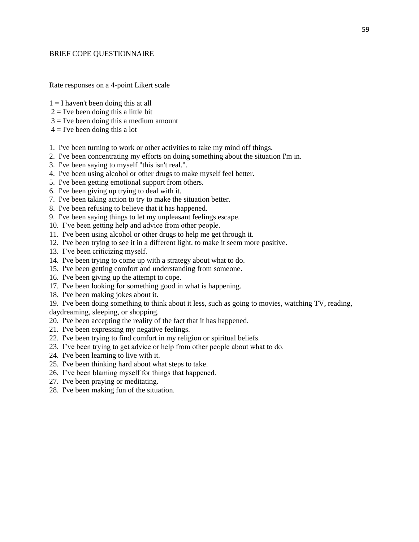### BRIEF COPE QUESTIONNAIRE

Rate responses on a 4-point Likert scale

- $1 = I$  haven't been doing this at all
- $2 =$  I've been doing this a little bit
- $3 =$  I've been doing this a medium amount
- $4 =$  I've been doing this a lot
- 1. I've been turning to work or other activities to take my mind off things.
- 2. I've been concentrating my efforts on doing something about the situation I'm in.
- 3. I've been saying to myself "this isn't real.".
- 4. I've been using alcohol or other drugs to make myself feel better.
- 5. I've been getting emotional support from others.
- 6. I've been giving up trying to deal with it.
- 7. I've been taking action to try to make the situation better.
- 8. I've been refusing to believe that it has happened.
- 9. I've been saying things to let my unpleasant feelings escape.
- 10. I've been getting help and advice from other people.
- 11. I've been using alcohol or other drugs to help me get through it.
- 12. I've been trying to see it in a different light, to make it seem more positive.
- 13. I've been criticizing myself.
- 14. I've been trying to come up with a strategy about what to do.
- 15. I've been getting comfort and understanding from someone.
- 16. I've been giving up the attempt to cope.
- 17. I've been looking for something good in what is happening.
- 18. I've been making jokes about it.
- 19. I've been doing something to think about it less, such as going to movies, watching TV, reading,
- daydreaming, sleeping, or shopping.
- 20. I've been accepting the reality of the fact that it has happened.
- 21. I've been expressing my negative feelings.
- 22. I've been trying to find comfort in my religion or spiritual beliefs.
- 23. I've been trying to get advice or help from other people about what to do.
- 24. I've been learning to live with it.
- 25. I've been thinking hard about what steps to take.
- 26. I've been blaming myself for things that happened.
- 27. I've been praying or meditating.
- 28. I've been making fun of the situation.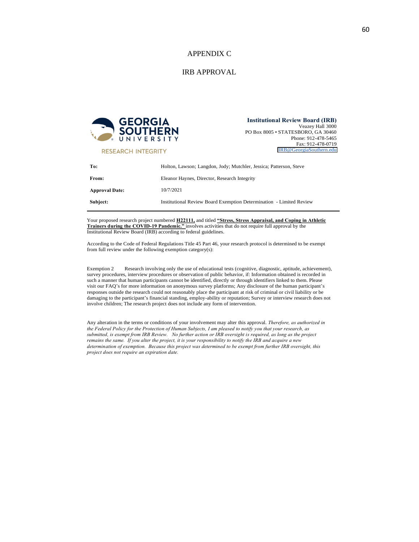### APPENDIX C

### IRB APPROVAL



**Institutional Review Board (IRB)** Veazey Hall 3000 PO Box 8005 • STATESBORO, GA 30460

> Phone: 912-478-5465 Fax: 912-478-0719 IRB@GeorgiaSouthern.edu

**RESEARCH INTEGRITY** 

| To:                   | Holton, Lawson; Langdon, Jody; Mutchler, Jessica; Patterson, Steve  |  |
|-----------------------|---------------------------------------------------------------------|--|
| From:                 | Eleanor Haynes, Director, Research Integrity                        |  |
| <b>Approval Date:</b> | 10/7/2021                                                           |  |
| Subject:              | Institutional Review Board Exemption Determination - Limited Review |  |

Your proposed research project numbered H22111, and titled "Stress, Stress Appraisal, and Coping in Athletic<br>Trainers during the COVID-19 Pandemic." involves activities that do not require full approval by the<br>Institutiona

According to the Code of Federal Regulations Title 45 Part 46, your research protocol is determined to be exempt from full review under the following exemption category(s):

Exemption 2 Research involving only the use of educational tests (cognitive, diagnostic, aptitude, achievement), survey procedures, interview procedures or observation of public behavior, if: Information obtained is recorded in such a manner that human participants cannot be identified, directly or through identifiers linked to them. visit our FAQ's for more information on anonymous survey platforms; Any disclosure of the human participant's responses outside the research could not reasonably place the participant at risk of criminal or civil liability or be damaging to the participant's financial standing, employ-ability or reputation; Survey or interview res involve children; The research project does not include any form of intervention.

Any alteration in the terms or conditions of your involvement may alter this approval. *Therefore, as authorized in the Federal Policy for the Protection of Human Subjects, I am pleased to notify you that your research, as* remains the same. If you alter the project, it is your responsibility to notify the IRB and acquire a new<br>determination of exemption. Because this project was determined to be exempt from further IRB oversight, this *project does not require an expiration date.*